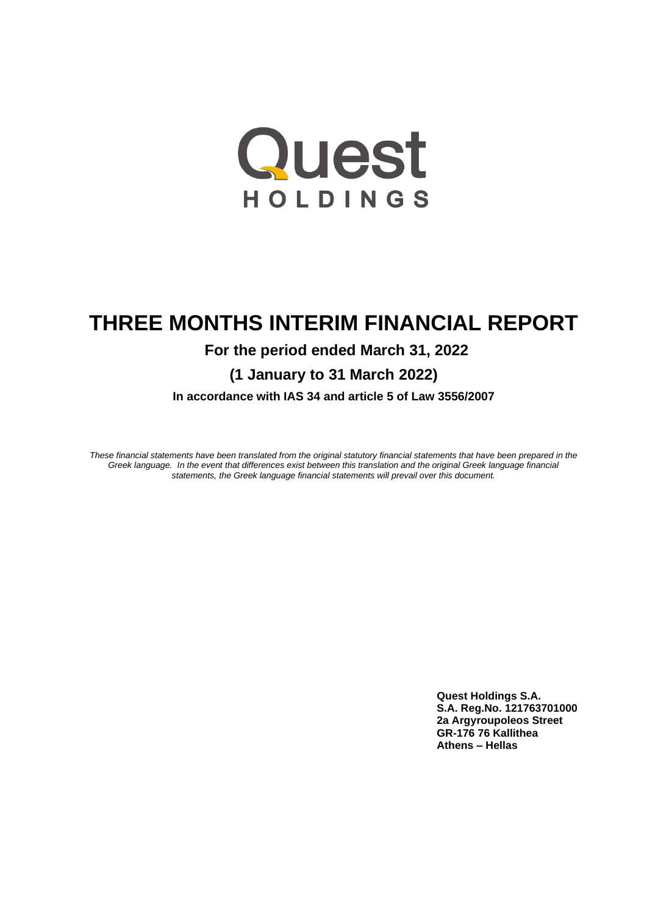

# **THREE MONTHS INTERIM FINANCIAL REPORT**

# **For the period ended March 31, 2022**

**(1 January to 31 March 2022)**

**In accordance with IAS 34 and article 5 of Law 3556/2007**

*These financial statements have been translated from the original statutory financial statements that have been prepared in the Greek language. In the event that differences exist between this translation and the original Greek language financial statements, the Greek language financial statements will prevail over this document.*

> **Quest Holdings S.A. S.A. Reg.No. 121763701000 2a Argyroupoleos Street GR-176 76 Kallithea Athens – Hellas**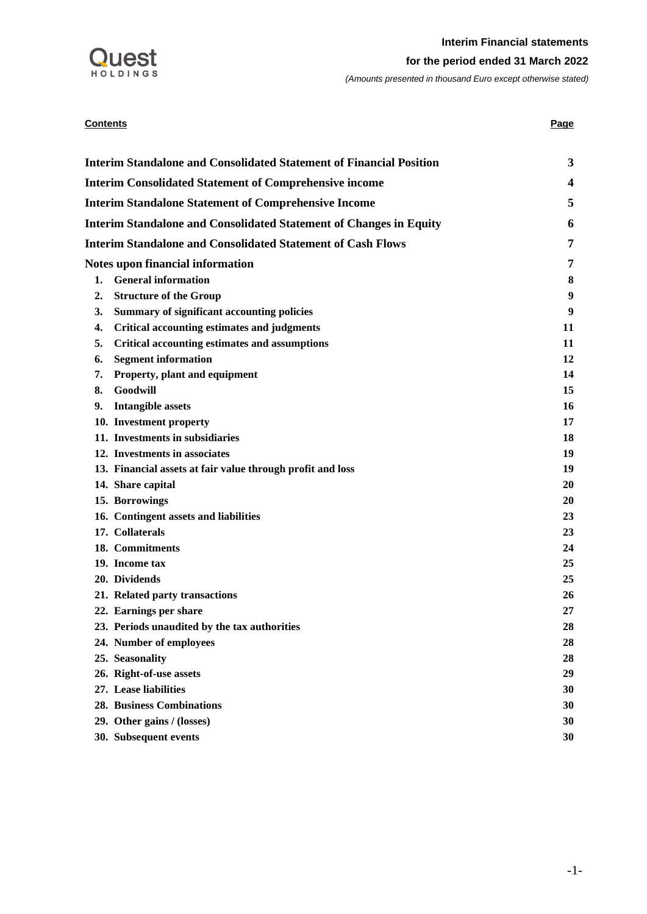

## **Contents Page 2018**

| <b>Interim Standalone and Consolidated Statement of Financial Position</b> | 3  |
|----------------------------------------------------------------------------|----|
| <b>Interim Consolidated Statement of Comprehensive income</b>              | 4  |
| <b>Interim Standalone Statement of Comprehensive Income</b>                | 5  |
| <b>Interim Standalone and Consolidated Statement of Changes in Equity</b>  | 6  |
| <b>Interim Standalone and Consolidated Statement of Cash Flows</b>         | 7  |
| Notes upon financial information                                           | 7  |
| <b>General information</b><br>1.                                           | 8  |
| <b>Structure of the Group</b><br>2.                                        | 9  |
| <b>Summary of significant accounting policies</b><br>3.                    | 9  |
| <b>Critical accounting estimates and judgments</b><br>4.                   | 11 |
| <b>Critical accounting estimates and assumptions</b><br>5.                 | 11 |
| <b>Segment information</b><br>6.                                           | 12 |
| Property, plant and equipment<br>7.                                        | 14 |
| Goodwill<br>8.                                                             | 15 |
| <b>Intangible assets</b><br>9.                                             | 16 |
| 10. Investment property                                                    | 17 |
| 11. Investments in subsidiaries                                            | 18 |
| 12. Investments in associates                                              | 19 |
| 13. Financial assets at fair value through profit and loss                 | 19 |
| 14. Share capital                                                          | 20 |
| 15. Borrowings                                                             | 20 |
| 16. Contingent assets and liabilities                                      | 23 |
| 17. Collaterals                                                            | 23 |
| 18. Commitments                                                            | 24 |
| 19. Income tax                                                             | 25 |
| 20. Dividends                                                              | 25 |
| 21. Related party transactions                                             | 26 |
| 22. Earnings per share                                                     | 27 |
| 23. Periods unaudited by the tax authorities                               | 28 |
| 24. Number of employees                                                    | 28 |
| 25. Seasonality                                                            | 28 |
| 26. Right-of-use assets                                                    | 29 |
| 27. Lease liabilities                                                      | 30 |
| <b>28. Business Combinations</b>                                           | 30 |
| 29. Other gains / (losses)                                                 | 30 |
| 30. Subsequent events                                                      | 30 |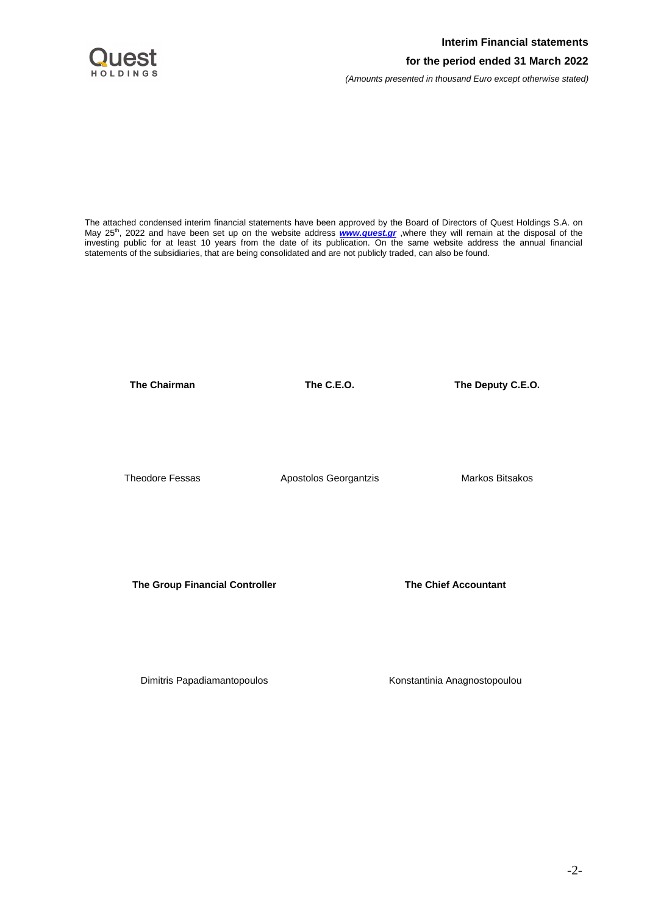

The attached condensed interim financial statements have been approved by the Board of Directors of Quest Holdings S.A. on May 25<sup>th</sup>, 2022 and have been set up on the website address **[www.quest.gr](http://www.quest.gr/)**, where they will remain at the disposal of the investing public for at least 10 years from the date of its publication. On the same website address the annual financial statements of the subsidiaries, that are being consolidated and are not publicly traded, can also be found.

**The Chairman The C.E.O. The Deputy C.E.O.**

Theodore Fessas Apostolos Georgantzis Markos Bitsakos

**The Group Financial Controller The Chief Accountant**

Dimitris Papadiamantopoulos **Konstantinia Anagnostopoulou**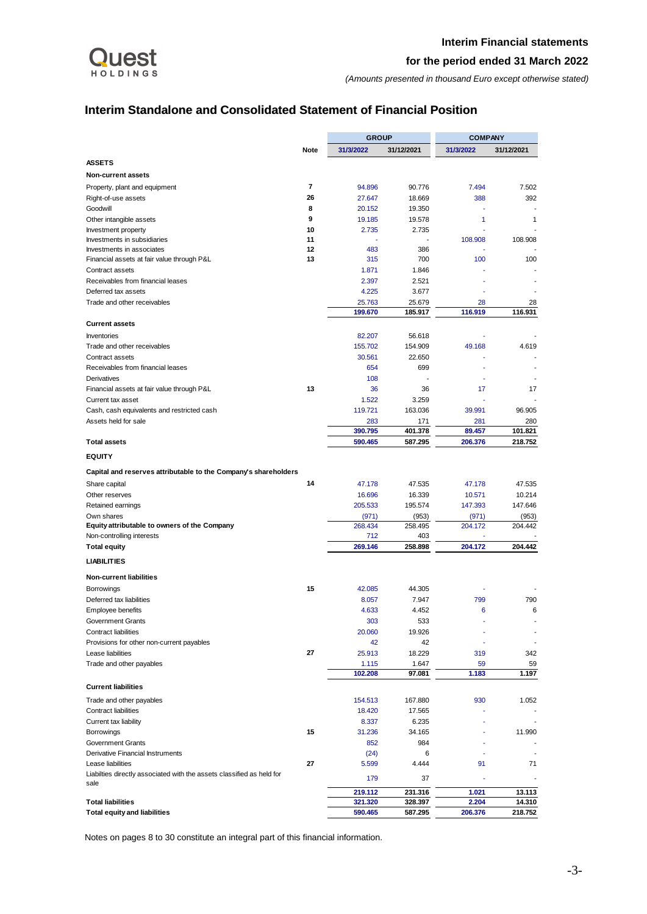

*(Amounts presented in thousand Euro except otherwise stated)*

# <span id="page-3-0"></span>**Interim Standalone and Consolidated Statement of Financial Position**

|                                                                       |      | <b>GROUP</b>   |                | <b>COMPANY</b> |            |  |
|-----------------------------------------------------------------------|------|----------------|----------------|----------------|------------|--|
|                                                                       | Note | 31/3/2022      | 31/12/2021     | 31/3/2022      | 31/12/2021 |  |
| <b>ASSETS</b>                                                         |      |                |                |                |            |  |
| <b>Non-current assets</b>                                             |      |                |                |                |            |  |
| Property, plant and equipment                                         | 7    | 94.896         | 90.776         | 7.494          | 7.502      |  |
| Right-of-use assets                                                   | 26   | 27.647         | 18.669         | 388            | 392        |  |
| Goodwill                                                              | 8    | 20.152         | 19.350         |                |            |  |
| Other intangible assets                                               | 9    | 19.185         | 19.578         | 1              | 1          |  |
| Investment property                                                   | 10   | 2.735          | 2.735          |                |            |  |
| Investments in subsidiaries                                           | 11   |                |                | 108.908        | 108.908    |  |
| Investments in associates                                             | 12   | 483            | 386            |                |            |  |
| Financial assets at fair value through P&L                            | 13   | 315            | 700            | 100            | 100        |  |
| Contract assets<br>Receivables from financial leases                  |      | 1.871<br>2.397 | 1.846<br>2.521 | ÷,             |            |  |
| Deferred tax assets                                                   |      | 4.225          | 3.677          |                |            |  |
| Trade and other receivables                                           |      | 25.763         | 25.679         | 28             | 28         |  |
|                                                                       |      | 199.670        | 185.917        | 116.919        | 116.931    |  |
| <b>Current assets</b>                                                 |      |                |                |                |            |  |
| Inventories                                                           |      | 82.207         | 56.618         |                |            |  |
| Trade and other receivables                                           |      | 155.702        | 154.909        | 49.168         | 4.619      |  |
| Contract assets                                                       |      | 30.561         | 22.650         |                |            |  |
| Receivables from financial leases                                     |      | 654            | 699            |                |            |  |
| Derivatives                                                           |      | 108            |                | $\overline{a}$ |            |  |
| Financial assets at fair value through P&L                            | 13   | 36             | 36             | 17             | 17         |  |
| Current tax asset                                                     |      | 1.522          | 3.259          | ä,             |            |  |
| Cash, cash equivalents and restricted cash                            |      | 119.721        | 163.036        | 39.991         | 96.905     |  |
| Assets held for sale                                                  |      | 283            | 171            | 281            | 280        |  |
|                                                                       |      | 390.795        | 401.378        | 89.457         | 101.821    |  |
| <b>Total assets</b>                                                   |      | 590.465        | 587.295        | 206.376        | 218.752    |  |
| <b>EQUITY</b>                                                         |      |                |                |                |            |  |
| Capital and reserves attributable to the Company's shareholders       |      |                |                |                |            |  |
| Share capital                                                         | 14   | 47.178         | 47.535         | 47.178         | 47.535     |  |
| Other reserves                                                        |      | 16.696         | 16.339         | 10.571         | 10.214     |  |
| Retained earnings                                                     |      | 205.533        | 195.574        | 147.393        | 147.646    |  |
| Own shares                                                            |      | (971)          | (953)          | (971)          | (953)      |  |
| Equity attributable to owners of the Company                          |      | 268.434        | 258.495        | 204.172        | 204.442    |  |
| Non-controlling interests                                             |      | 712            | 403            |                |            |  |
| <b>Total equity</b>                                                   |      | 269.146        | 258.898        | 204.172        | 204.442    |  |
| <b>LIABILITIES</b>                                                    |      |                |                |                |            |  |
| <b>Non-current liabilities</b>                                        |      |                |                |                |            |  |
| <b>Borrowings</b>                                                     | 15   | 42.085         | 44.305         |                |            |  |
| Deferred tax liabilities                                              |      | 8.057          | 7.947          | 799            | 790        |  |
| Employee benefits                                                     |      | 4.633          | 4.452          | 6              | 6          |  |
| <b>Government Grants</b>                                              |      | 303            | 533            |                |            |  |
| <b>Contract liabilities</b>                                           |      | 20.060         | 19.926         |                |            |  |
| Provisions for other non-current payables                             |      | 42             | 42             |                |            |  |
| Lease liabilities                                                     | 27   | 25.913         | 18.229         | 319            | 342        |  |
| Trade and other payables                                              |      | 1.115          | 1.647          | 59             | 59         |  |
|                                                                       |      | 102.208        | 97.081         | 1.183          | 1.197      |  |
| <b>Current liabilities</b>                                            |      |                |                |                |            |  |
| Trade and other payables                                              |      | 154.513        | 167.880        | 930            | 1.052      |  |
| <b>Contract liabilities</b>                                           |      | 18.420         | 17.565         | ä,             |            |  |
| Current tax liability                                                 |      | 8.337          | 6.235          |                |            |  |
| Borrowings                                                            | 15   | 31.236         | 34.165         |                | 11.990     |  |
| <b>Government Grants</b>                                              |      | 852            | 984            | ÷,<br>÷,       |            |  |
| Derivative Financial Instruments<br>Lease liabilities                 | 27   | (24)<br>5.599  | 6<br>4.444     | 91             | 71         |  |
| Liabilties directly associated with the assets classified as held for |      |                |                |                |            |  |
| sale                                                                  |      | 179            | 37             |                |            |  |
|                                                                       |      | 219.112        | 231.316        | 1.021          | 13.113     |  |
| <b>Total liabilities</b>                                              |      | 321.320        | 328.397        | 2.204          | 14.310     |  |
| <b>Total equity and liabilities</b>                                   |      | 590.465        | 587.295        | 206.376        | 218.752    |  |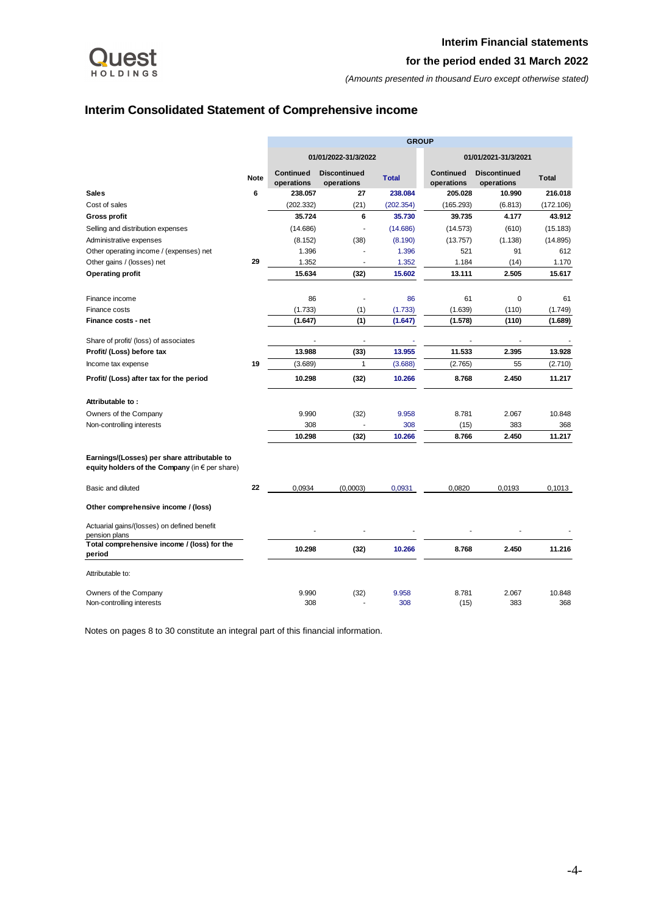

# <span id="page-4-0"></span>**Interim Consolidated Statement of Comprehensive income**

|                                                                                               |             | <b>GROUP</b>                   |                                   |              |                         |                                   |              |  |  |  |
|-----------------------------------------------------------------------------------------------|-------------|--------------------------------|-----------------------------------|--------------|-------------------------|-----------------------------------|--------------|--|--|--|
|                                                                                               |             |                                | 01/01/2022-31/3/2022              |              |                         | 01/01/2021-31/3/2021              |              |  |  |  |
|                                                                                               | <b>Note</b> | <b>Continued</b><br>operations | <b>Discontinued</b><br>operations | <b>Total</b> | Continued<br>operations | <b>Discontinued</b><br>operations | <b>Total</b> |  |  |  |
| <b>Sales</b>                                                                                  | 6           | 238.057                        | 27                                | 238.084      | 205.028                 | 10.990                            | 216.018      |  |  |  |
| Cost of sales                                                                                 |             | (202.332)                      | (21)                              | (202.354)    | (165.293)               | (6.813)                           | (172.106)    |  |  |  |
| Gross profit                                                                                  |             | 35.724                         | 6                                 | 35.730       | 39.735                  | 4.177                             | 43.912       |  |  |  |
| Selling and distribution expenses                                                             |             | (14.686)                       | ÷                                 | (14.686)     | (14.573)                | (610)                             | (15.183)     |  |  |  |
| Administrative expenses                                                                       |             | (8.152)                        | (38)                              | (8.190)      | (13.757)                | (1.138)                           | (14.895)     |  |  |  |
| Other operating income / (expenses) net                                                       |             | 1.396                          |                                   | 1.396        | 521                     | 91                                | 612          |  |  |  |
| Other gains / (losses) net                                                                    | 29          | 1.352                          |                                   | 1.352        | 1.184                   | (14)                              | 1.170        |  |  |  |
| <b>Operating profit</b>                                                                       |             | 15.634                         | (32)                              | 15.602       | 13.111                  | 2.505                             | 15.617       |  |  |  |
| Finance income                                                                                |             | 86                             | $\overline{a}$                    | 86           | 61                      | 0                                 | 61           |  |  |  |
| Finance costs                                                                                 |             | (1.733)                        | (1)                               | (1.733)      | (1.639)                 | (110)                             | (1.749)      |  |  |  |
| <b>Finance costs - net</b>                                                                    |             | (1.647)                        | (1)                               | (1.647)      | (1.578)                 | (110)                             | (1.689)      |  |  |  |
| Share of profit/ (loss) of associates                                                         |             |                                |                                   |              |                         |                                   |              |  |  |  |
| Profit/ (Loss) before tax                                                                     |             | 13.988                         | (33)                              | 13.955       | 11.533                  | 2.395                             | 13.928       |  |  |  |
| Income tax expense                                                                            | 19          | (3.689)                        | 1                                 | (3.688)      | (2.765)                 | 55                                | (2.710)      |  |  |  |
| Profit/ (Loss) after tax for the period                                                       |             | 10.298                         | (32)                              | 10.266       | 8.768                   | 2.450                             | 11.217       |  |  |  |
| Attributable to:                                                                              |             |                                |                                   |              |                         |                                   |              |  |  |  |
| Owners of the Company                                                                         |             | 9.990                          | (32)                              | 9.958        | 8.781                   | 2.067                             | 10.848       |  |  |  |
| Non-controlling interests                                                                     |             | 308                            |                                   | 308          | (15)                    | 383                               | 368          |  |  |  |
|                                                                                               |             | 10.298                         | (32)                              | 10.266       | 8.766                   | 2.450                             | 11.217       |  |  |  |
| Earnings/(Losses) per share attributable to<br>equity holders of the Company (in € per share) |             |                                |                                   |              |                         |                                   |              |  |  |  |
| Basic and diluted                                                                             | 22          | 0,0934                         | (0,0003)                          | 0,0931       | 0,0820                  | 0,0193                            | 0,1013       |  |  |  |
| Other comprehensive income / (loss)                                                           |             |                                |                                   |              |                         |                                   |              |  |  |  |
| Actuarial gains/(losses) on defined benefit<br>pension plans                                  |             |                                |                                   |              |                         |                                   |              |  |  |  |
| Total comprehensive income / (loss) for the<br>period                                         |             | 10.298                         | (32)                              | 10.266       | 8.768                   | 2.450                             | 11.216       |  |  |  |
| Attributable to:                                                                              |             |                                |                                   |              |                         |                                   |              |  |  |  |
| Owners of the Company                                                                         |             | 9.990                          | (32)                              | 9.958        | 8.781                   | 2.067                             | 10.848       |  |  |  |
| Non-controlling interests                                                                     |             | 308                            |                                   | 308          | (15)                    | 383                               | 368          |  |  |  |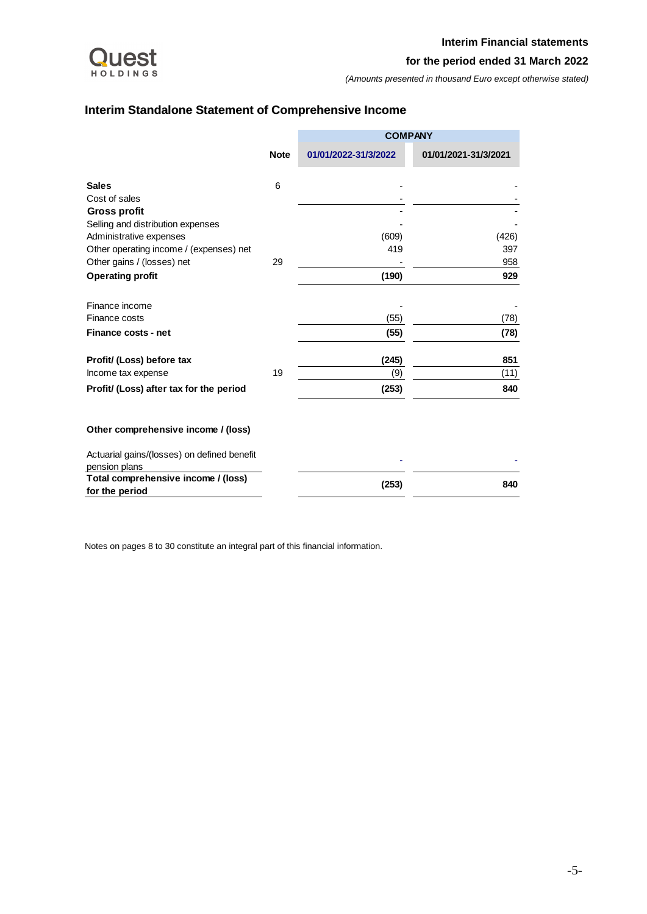

# <span id="page-5-0"></span>**Interim Standalone Statement of Comprehensive Income**

|                                                              |             | <b>COMPANY</b>       |                      |
|--------------------------------------------------------------|-------------|----------------------|----------------------|
|                                                              | <b>Note</b> | 01/01/2022-31/3/2022 | 01/01/2021-31/3/2021 |
| <b>Sales</b>                                                 | 6           |                      |                      |
| Cost of sales                                                |             |                      |                      |
| <b>Gross profit</b>                                          |             |                      |                      |
| Selling and distribution expenses                            |             |                      |                      |
| Administrative expenses                                      |             | (609)                | (426)                |
| Other operating income / (expenses) net                      |             | 419                  | 397                  |
| Other gains / (losses) net                                   | 29          |                      | 958                  |
| <b>Operating profit</b>                                      |             | (190)                | 929                  |
| Finance income                                               |             |                      |                      |
| Finance costs                                                |             | (55)                 | (78)                 |
| <b>Finance costs - net</b>                                   |             | (55)                 | (78)                 |
| Profit/ (Loss) before tax                                    |             | (245)                | 851                  |
| Income tax expense                                           | 19          | (9)                  | (11)                 |
| Profit/ (Loss) after tax for the period                      |             | (253)                | 840                  |
| Other comprehensive income / (loss)                          |             |                      |                      |
| Actuarial gains/(losses) on defined benefit<br>pension plans |             |                      |                      |
| Total comprehensive income / (loss)                          |             |                      |                      |
| for the period                                               |             | (253)                | 840                  |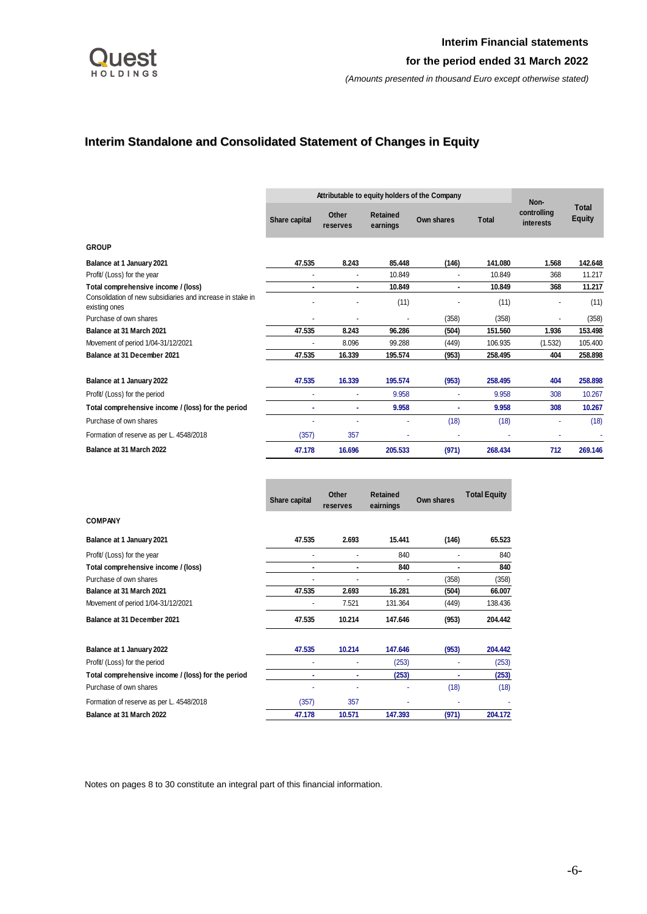

# <span id="page-6-0"></span>**Interim Standalone and Consolidated Statement of Changes in Equity**

|                                                                             |               | Attributable to equity holders of the Company |                             |            |              |                                  |                               |  |  |
|-----------------------------------------------------------------------------|---------------|-----------------------------------------------|-----------------------------|------------|--------------|----------------------------------|-------------------------------|--|--|
|                                                                             | Share capital | Other<br>reserves                             | <b>Retained</b><br>earnings | Own shares | <b>Total</b> | Non-<br>controlling<br>interests | <b>Total</b><br><b>Equity</b> |  |  |
| <b>GROUP</b>                                                                |               |                                               |                             |            |              |                                  |                               |  |  |
| Balance at 1 January 2021                                                   | 47.535        | 8.243                                         | 85.448                      | (146)      | 141.080      | 1.568                            | 142.648                       |  |  |
| Profit/ (Loss) for the year                                                 |               | $\overline{\phantom{a}}$                      | 10.849                      | ٠          | 10.849       | 368                              | 11.217                        |  |  |
| Total comprehensive income / (loss)                                         |               | ٠                                             | 10.849                      | ۰          | 10.849       | 368                              | 11.217                        |  |  |
| Consolidation of new subsidiaries and increase in stake in<br>existing ones |               |                                               | (11)                        |            | (11)         |                                  | (11)                          |  |  |
| Purchase of own shares                                                      |               | $\overline{\phantom{a}}$                      | ٠                           | (358)      | (358)        |                                  | (358)                         |  |  |
| Balance at 31 March 2021                                                    | 47.535        | 8.243                                         | 96.286                      | (504)      | 151.560      | 1.936                            | 153.498                       |  |  |
| Movement of period 1/04-31/12/2021                                          |               | 8.096                                         | 99.288                      | (449)      | 106.935      | (1.532)                          | 105.400                       |  |  |
| Balance at 31 December 2021                                                 | 47.535        | 16.339                                        | 195.574                     | (953)      | 258.495      | 404                              | 258.898                       |  |  |
| Balance at 1 January 2022                                                   | 47.535        | 16.339                                        | 195.574                     | (953)      | 258.495      | 404                              | 258,898                       |  |  |
| Profit/ (Loss) for the period                                               |               | ٠                                             | 9.958                       |            | 9.958        | 308                              | 10.267                        |  |  |
| Total comprehensive income / (loss) for the period                          |               | ٠                                             | 9.958                       |            | 9.958        | 308                              | 10.267                        |  |  |
| Purchase of own shares                                                      |               |                                               |                             | (18)       | (18)         |                                  | (18)                          |  |  |
| Formation of reserve as per L. 4548/2018                                    | (357)         | 357                                           | ٠                           |            |              |                                  |                               |  |  |
| Balance at 31 March 2022                                                    | 47.178        | 16.696                                        | 205.533                     | (971)      | 268.434      | 712                              | 269.146                       |  |  |

|                                                    | Share capital | Other<br>reserves | <b>Retained</b><br>eairnings | Own shares | <b>Total Equity</b> |
|----------------------------------------------------|---------------|-------------------|------------------------------|------------|---------------------|
| <b>COMPANY</b>                                     |               |                   |                              |            |                     |
| Balance at 1 January 2021                          | 47.535        | 2.693             | 15.441                       | (146)      | 65.523              |
| Profit/ (Loss) for the year                        |               |                   | 840                          |            | 840                 |
| Total comprehensive income / (loss)                |               | ۰                 | 840                          | ٠          | 840                 |
| Purchase of own shares                             |               |                   |                              | (358)      | (358)               |
| Balance at 31 March 2021                           | 47.535        | 2.693             | 16.281                       | (504)      | 66.007              |
| Movement of period 1/04-31/12/2021                 |               | 7.521             | 131.364                      | (449)      | 138.436             |
| Balance at 31 December 2021                        | 47.535        | 10.214            | 147.646                      | (953)      | 204.442             |
| Balance at 1 January 2022                          | 47.535        | 10.214            | 147.646                      | (953)      | 204.442             |
| Profit/ (Loss) for the period                      |               |                   | (253)                        |            | (253)               |
| Total comprehensive income / (loss) for the period |               | ٠                 | (253)                        | ٠          | (253)               |
| Purchase of own shares                             |               |                   | ٠                            | (18)       | (18)                |
| Formation of reserve as per L. 4548/2018           | (357)         | 357               |                              |            |                     |
| Balance at 31 March 2022                           | 47.178        | 10.571            | 147.393                      | (971)      | 204.172             |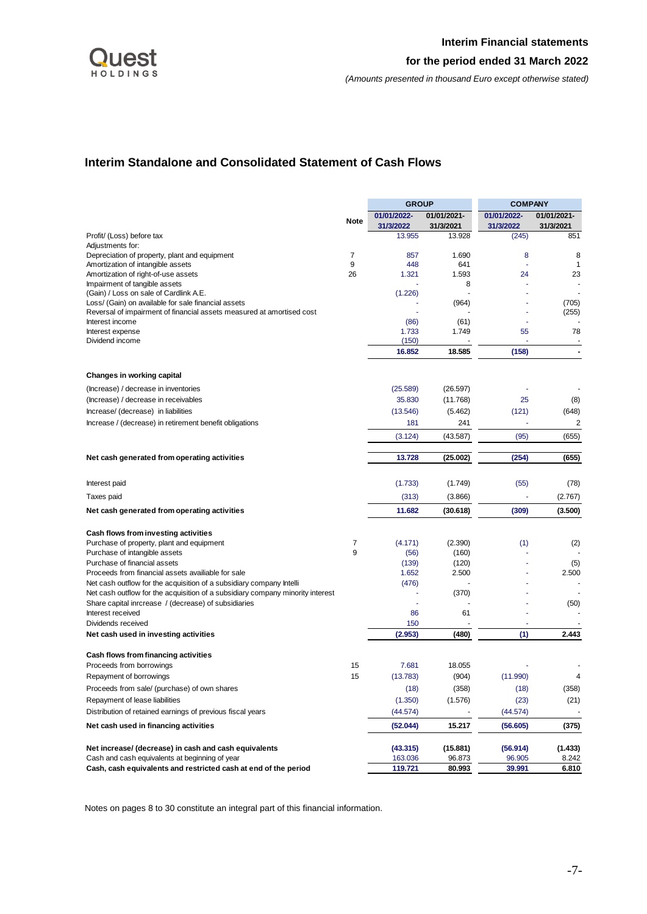

# <span id="page-7-0"></span>**Interim Standalone and Consolidated Statement of Cash Flows**

<span id="page-7-1"></span>

|                                                                                |             | <b>GROUP</b>             |                          | <b>COMPANY</b>           |                          |  |
|--------------------------------------------------------------------------------|-------------|--------------------------|--------------------------|--------------------------|--------------------------|--|
|                                                                                | <b>Note</b> | 01/01/2022-<br>31/3/2022 | 01/01/2021-<br>31/3/2021 | 01/01/2022-<br>31/3/2022 | 01/01/2021-<br>31/3/2021 |  |
| Profit/ (Loss) before tax                                                      |             | 13.955                   | 13.928                   | (245)                    | 851                      |  |
| Adjustments for:                                                               |             |                          |                          |                          |                          |  |
| Depreciation of property, plant and equipment                                  | 7           | 857                      | 1.690                    | 8                        | 8                        |  |
| Amortization of intangible assets                                              | 9           | 448                      | 641                      |                          | 1                        |  |
| Amortization of right-of-use assets                                            | 26          | 1.321                    | 1.593                    | 24                       | 23                       |  |
| Impairment of tangible assets<br>(Gain) / Loss on sale of Cardlink A.E.        |             | (1.226)                  | 8                        |                          |                          |  |
| Loss/ (Gain) on available for sale financial assets                            |             |                          | (964)                    |                          | (705)                    |  |
| Reversal of impairment of financial assets measured at amortised cost          |             |                          |                          |                          | (255)                    |  |
| Interest income                                                                |             | (86)                     | (61)                     |                          |                          |  |
| Interest expense                                                               |             | 1.733                    | 1.749                    | 55                       | 78                       |  |
| Dividend income                                                                |             | (150)                    |                          |                          |                          |  |
|                                                                                |             | 16.852                   | 18.585                   | (158)                    |                          |  |
| <b>Changes in working capital</b>                                              |             |                          |                          |                          |                          |  |
| (Increase) / decrease in inventories                                           |             | (25.589)                 | (26.597)                 |                          |                          |  |
| (Increase) / decrease in receivables                                           |             | 35.830                   | (11.768)                 | 25                       | (8)                      |  |
|                                                                                |             |                          |                          |                          |                          |  |
| Increase/ (decrease) in liabilities                                            |             | (13.546)                 | (5.462)                  | (121)                    | (648)                    |  |
| Increase / (decrease) in retirement benefit obligations                        |             | 181                      | 241                      |                          | 2                        |  |
|                                                                                |             | (3.124)                  | (43.587)                 | (95)                     | (655)                    |  |
| Net cash generated from operating activities                                   |             | 13.728                   | (25.002)                 | (254)                    | (655)                    |  |
| Interest paid                                                                  |             | (1.733)                  | (1.749)                  | (55)                     | (78)                     |  |
| Taxes paid                                                                     |             | (313)                    | (3.866)                  |                          | (2.767)                  |  |
| Net cash generated from operating activities                                   |             | 11.682                   | (30.618)                 | (309)                    | (3.500)                  |  |
| Cash flows from investing activities                                           |             |                          |                          |                          |                          |  |
| Purchase of property, plant and equipment                                      | 7           | (4.171)                  | (2.390)                  | (1)                      | (2)                      |  |
| Purchase of intangible assets                                                  | 9           | (56)                     | (160)                    |                          |                          |  |
| Purchase of financial assets                                                   |             | (139)                    | (120)                    |                          | (5)                      |  |
| Proceeds from financial assets availiable for sale                             |             | 1.652                    | 2.500                    |                          | 2.500                    |  |
| Net cash outflow for the acquisition of a subsidiary company Intelli           |             | (476)                    |                          |                          |                          |  |
| Net cash outflow for the acquisition of a subsidiary company minority interest |             |                          | (370)                    |                          |                          |  |
| Share capital inrcrease / (decrease) of subsidiaries                           |             |                          |                          |                          | (50)                     |  |
| Interest received                                                              |             | 86                       | 61                       |                          |                          |  |
| Dividends received                                                             |             | 150                      |                          |                          |                          |  |
| Net cash used in investing activities                                          |             | (2.953)                  | (480)                    | (1)                      | 2.443                    |  |
| Cash flows from financing activities                                           |             |                          |                          |                          |                          |  |
| Proceeds from borrowings                                                       | 15          | 7.681                    | 18.055                   |                          |                          |  |
| Repayment of borrowings                                                        | 15          | (13.783)                 | (904)                    | (11.990)                 | 4                        |  |
| Proceeds from sale/ (purchase) of own shares                                   |             | (18)                     | (358)                    | (18)                     | (358)                    |  |
| Repayment of lease liabilities                                                 |             | (1.350)                  | (1.576)                  | (23)                     | (21)                     |  |
| Distribution of retained earnings of previous fiscal years                     |             | (44.574)                 |                          | (44.574)                 |                          |  |
| Net cash used in financing activities                                          |             | (52.044)                 | 15.217                   | (56.605)                 | (375)                    |  |
| Net increase/ (decrease) in cash and cash equivalents                          |             | (43.315)                 | (15.881)                 | (56.914)                 | (1.433)                  |  |
| Cash and cash equivalents at beginning of year                                 |             | 163.036                  | 96.873                   | 96.905                   | 8.242                    |  |
| Cash, cash equivalents and restricted cash at end of the period                |             | 119.721                  | 80.993                   | 39.991                   | 6.810                    |  |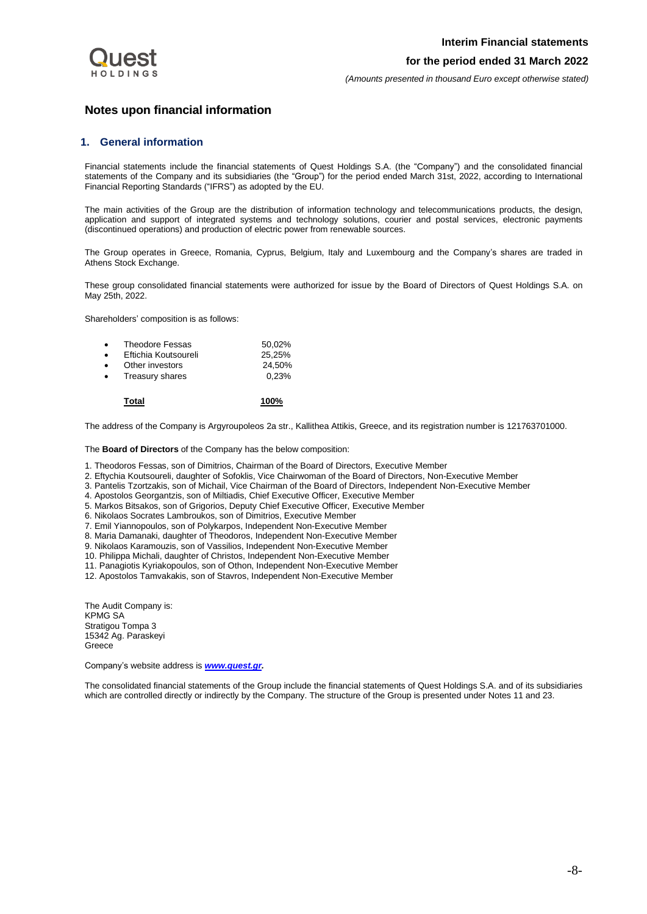

*(Amounts presented in thousand Euro except otherwise stated)*

# <span id="page-8-0"></span>**Notes upon financial information**

## **1. General information**

Financial statements include the financial statements of Quest Holdings S.A. (the "Company") and the consolidated financial statements of the Company and its subsidiaries (the "Group") for the period ended March 31st, 2022, according to International Financial Reporting Standards ("IFRS") as adopted by the EU.

The main activities of the Group are the distribution of information technology and telecommunications products, the design, application and support of integrated systems and technology solutions, courier and postal services, electronic payments (discontinued operations) and production of electric power from renewable sources.

The Group operates in Greece, Romania, Cyprus, Belgium, Italy and Luxembourg and the Company's shares are traded in Athens Stock Exchange.

These group consolidated financial statements were authorized for issue by the Board of Directors of Quest Holdings S.A. on May 25th, 2022.

Shareholders' composition is as follows:

| $\bullet$ | <b>Theodore Fessas</b> | 50.02% |
|-----------|------------------------|--------|
| $\bullet$ | Eftichia Koutsoureli   | 25.25% |
| $\bullet$ | Other investors        | 24.50% |
| $\bullet$ | Treasury shares        | 0.23%  |
|           |                        |        |

**Total 100%**

The address of the Company is Argyroupoleos 2a str., Kallithea Attikis, Greece, and its registration number is 121763701000.

The **Board of Directors** of the Company has the below composition:

- 1. Theodoros Fessas, son of Dimitrios, Chairman of the Board of Directors, Executive Member
- 2. Eftychia Koutsoureli, daughter of Sofoklis, Vice Chairwoman of the Board of Directors, Non-Executive Member
- 3. Pantelis Tzortzakis, son of Michail, Vice Chairman of the Board of Directors, Independent Non-Executive Member
- 4. Apostolos Georgantzis, son of Miltiadis, Chief Executive Officer, Executive Member
- 5. Markos Bitsakos, son of Grigorios, Deputy Chief Executive Officer, Executive Member
- 6. Nikolaos Socrates Lambroukos, son of Dimitrios, Executive Member
- 7. Emil Yiannopoulos, son of Polykarpos, Independent Non-Executive Member
- 8. Maria Damanaki, daughter of Theodoros, Independent Non-Executive Member
- 9. Nikolaos Karamouzis, son of Vassilios, Independent Non-Executive Member
- 10. Philippa Michali, daughter of Christos, Independent Non-Executive Member
- 11. Panagiotis Kyriakopoulos, son of Othon, Independent Non-Executive Member
- 12. Apostolos Tamvakakis, son of Stavros, Independent Non-Executive Member

The Audit Company is: KPMG SA Stratigou Tompa 3 15342 Ag. Paraskeyi Greece

Company's website address is *[www.quest.gr.](http://www.quest.gr/)*

The consolidated financial statements of the Group include the financial statements of Quest Holdings S.A. and of its subsidiaries which are controlled directly or indirectly by the Company. The structure of the Group is presented under Notes 11 and 23.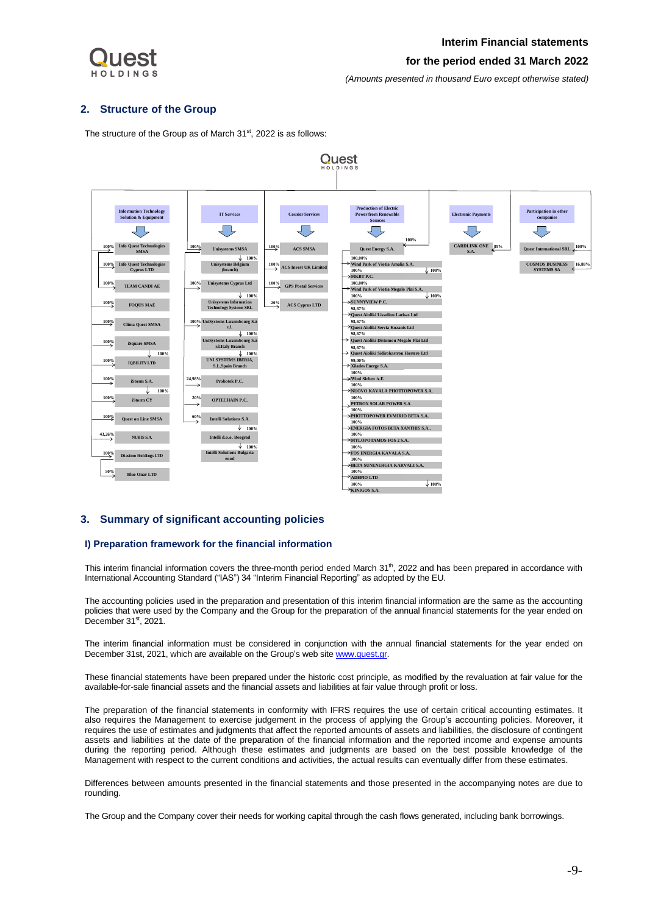

# **Interim Financial statements for the period ended 31 March 2022**

*(Amounts presented in thousand Euro except otherwise stated)*

## <span id="page-9-0"></span>**2. Structure of the Group**

The structure of the Group as of March 31<sup>st</sup>, 2022 is as follows:



## <span id="page-9-1"></span>**3. Summary of significant accounting policies**

## **I) Preparation framework for the financial information**

This interim financial information covers the three-month period ended March 31<sup>th</sup>, 2022 and has been prepared in accordance with International Accounting Standard ("IAS") 34 "Interim Financial Reporting" as adopted by the EU.

The accounting policies used in the preparation and presentation of this interim financial information are the same as the accounting policies that were used by the Company and the Group for the preparation of the annual financial statements for the year ended on December 31<sup>st</sup>, 2021.

The interim financial information must be considered in conjunction with the annual financial statements for the year ended on December 31st, 2021, which are available on the Group's web sit[e www.quest.gr.](http://www.quest.gr/)

These financial statements have been prepared under the historic cost principle, as modified by the revaluation at fair value for the available-for-sale financial assets and the financial assets and liabilities at fair value through profit or loss.

The preparation of the financial statements in conformity with IFRS requires the use of certain critical accounting estimates. It also requires the Management to exercise judgement in the process of applying the Group's accounting policies. Moreover, it requires the use of estimates and judgments that affect the reported amounts of assets and liabilities, the disclosure of contingent assets and liabilities at the date of the preparation of the financial information and the reported income and expense amounts during the reporting period. Although these estimates and judgments are based on the best possible knowledge of the Management with respect to the current conditions and activities, the actual results can eventually differ from these estimates.

Differences between amounts presented in the financial statements and those presented in the accompanying notes are due to rounding.

The Group and the Company cover their needs for working capital through the cash flows generated, including bank borrowings.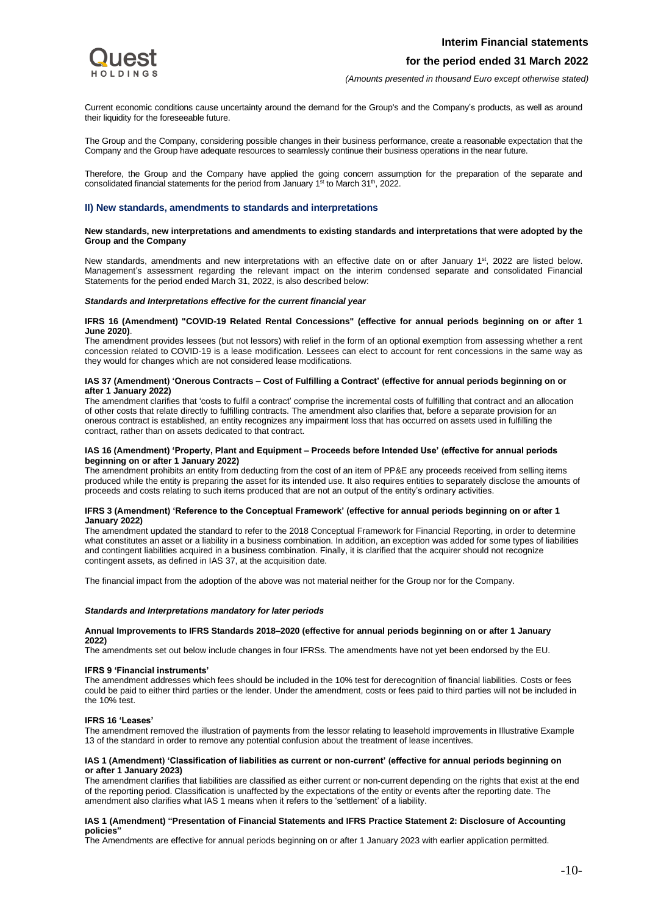

*(Amounts presented in thousand Euro except otherwise stated)*

Current economic conditions cause uncertainty around the demand for the Group's and the Company's products, as well as around their liquidity for the foreseeable future.

The Group and the Company, considering possible changes in their business performance, create a reasonable expectation that the Company and the Group have adequate resources to seamlessly continue their business operations in the near future.

Therefore, the Group and the Company have applied the going concern assumption for the preparation of the separate and consolidated financial statements for the period from January 1<sup>st</sup> to March 31<sup>th</sup>, 2022.

#### **II) New standards, amendments to standards and interpretations**

#### **New standards, new interpretations and amendments to existing standards and interpretations that were adopted by the Group and the Company**

New standards, amendments and new interpretations with an effective date on or after January 1<sup>st</sup>, 2022 are listed below. Management's assessment regarding the relevant impact on the interim condensed separate and consolidated Financial Statements for the period ended March 31, 2022, is also described below:

#### *Standards and Interpretations effective for the current financial year*

#### **IFRS 16 (Amendment) "COVID-19 Related Rental Concessions" (effective for annual periods beginning on or after 1 June 2020)**.

The amendment provides lessees (but not lessors) with relief in the form of an optional exemption from assessing whether a rent concession related to COVID-19 is a lease modification. Lessees can elect to account for rent concessions in the same way as they would for changes which are not considered lease modifications.

#### **IAS 37 (Amendment) 'Onerous Contracts – Cost of Fulfilling a Contract' (effective for annual periods beginning on or after 1 January 2022)**

The amendment clarifies that 'costs to fulfil a contract' comprise the incremental costs of fulfilling that contract and an allocation of other costs that relate directly to fulfilling contracts. The amendment also clarifies that, before a separate provision for an onerous contract is established, an entity recognizes any impairment loss that has occurred on assets used in fulfilling the contract, rather than on assets dedicated to that contract.

#### **IAS 16 (Amendment) 'Property, Plant and Equipment – Proceeds before Intended Use' (effective for annual periods beginning on or after 1 January 2022)**

The amendment prohibits an entity from deducting from the cost of an item of PP&E any proceeds received from selling items produced while the entity is preparing the asset for its intended use. It also requires entities to separately disclose the amounts of proceeds and costs relating to such items produced that are not an output of the entity's ordinary activities.

#### **IFRS 3 (Amendment) 'Reference to the Conceptual Framework' (effective for annual periods beginning on or after 1 January 2022)**

The amendment updated the standard to refer to the 2018 Conceptual Framework for Financial Reporting, in order to determine what constitutes an asset or a liability in a business combination. In addition, an exception was added for some types of liabilities and contingent liabilities acquired in a business combination. Finally, it is clarified that the acquirer should not recognize contingent assets, as defined in IAS 37, at the acquisition date.

The financial impact from the adoption of the above was not material neither for the Group nor for the Company.

#### *Standards and Interpretations mandatory for later periods*

#### **Annual Improvements to IFRS Standards 2018–2020 (effective for annual periods beginning on or after 1 January 2022)**

The amendments set out below include changes in four IFRSs. The amendments have not yet been endorsed by the EU.

#### **IFRS 9 'Financial instruments'**

The amendment addresses which fees should be included in the 10% test for derecognition of financial liabilities. Costs or fees could be paid to either third parties or the lender. Under the amendment, costs or fees paid to third parties will not be included in the 10% test.

#### **IFRS 16 'Leases'**

The amendment removed the illustration of payments from the lessor relating to leasehold improvements in Illustrative Example 13 of the standard in order to remove any potential confusion about the treatment of lease incentives.

#### **IAS 1 (Amendment) 'Classification of liabilities as current or non**‐**current' (effective for annual periods beginning on or after 1 January 2023)**

The amendment clarifies that liabilities are classified as either current or non-current depending on the rights that exist at the end of the reporting period. Classification is unaffected by the expectations of the entity or events after the reporting date. The amendment also clarifies what IAS 1 means when it refers to the 'settlement' of a liability.

#### **IAS 1 (Amendment) "Presentation of Financial Statements and IFRS Practice Statement 2: Disclosure of Accounting policies"**

The Amendments are effective for annual periods beginning on or after 1 January 2023 with earlier application permitted.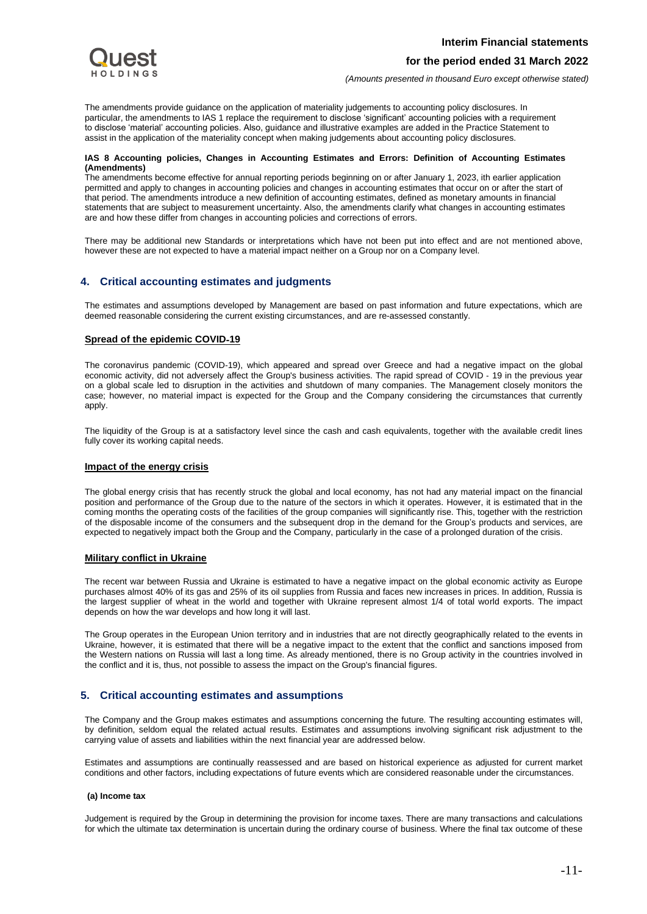*(Amounts presented in thousand Euro except otherwise stated)*

The amendments provide guidance on the application of materiality judgements to accounting policy disclosures. In particular, the amendments to IAS 1 replace the requirement to disclose 'significant' accounting policies with a requirement to disclose 'material' accounting policies. Also, guidance and illustrative examples are added in the Practice Statement to assist in the application of the materiality concept when making judgements about accounting policy disclosures.

### **IAS 8 Accounting policies, Changes in Accounting Estimates and Errors: Definition of Accounting Estimates (Amendments)**

The amendments become effective for annual reporting periods beginning on or after January 1, 2023, ith earlier application permitted and apply to changes in accounting policies and changes in accounting estimates that occur on or after the start of that period. The amendments introduce a new definition of accounting estimates, defined as monetary amounts in financial statements that are subject to measurement uncertainty. Also, the amendments clarify what changes in accounting estimates are and how these differ from changes in accounting policies and corrections of errors.

There may be additional new Standards or interpretations which have not been put into effect and are not mentioned above, however these are not expected to have a material impact neither on a Group nor on a Company level.

# <span id="page-11-0"></span>**4. Critical accounting estimates and judgments**

The estimates and assumptions developed by Management are based on past information and future expectations, which are deemed reasonable considering the current existing circumstances, and are re-assessed constantly.

# **Spread of the epidemic COVID**‐**19**

The coronavirus pandemic (COVID-19), which appeared and spread over Greece and had a negative impact on the global economic activity, did not adversely affect the Group's business activities. The rapid spread of COVID ‐ 19 in the previous year on a global scale led to disruption in the activities and shutdown of many companies. The Management closely monitors the case; however, no material impact is expected for the Group and the Company considering the circumstances that currently apply.

The liquidity of the Group is at a satisfactory level since the cash and cash equivalents, together with the available credit lines fully cover its working capital needs.

## **Impact of the energy crisis**

The global energy crisis that has recently struck the global and local economy, has not had any material impact on the financial position and performance of the Group due to the nature of the sectors in which it operates. However, it is estimated that in the coming months the operating costs of the facilities of the group companies will significantly rise. This, together with the restriction of the disposable income of the consumers and the subsequent drop in the demand for the Group's products and services, are expected to negatively impact both the Group and the Company, particularly in the case of a prolonged duration of the crisis.

## **Military conflict in Ukraine**

The recent war between Russia and Ukraine is estimated to have a negative impact on the global economic activity as Europe purchases almost 40% of its gas and 25% of its oil supplies from Russia and faces new increases in prices. In addition, Russia is the largest supplier of wheat in the world and together with Ukraine represent almost 1/4 of total world exports. The impact depends on how the war develops and how long it will last.

The Group operates in the European Union territory and in industries that are not directly geographically related to the events in Ukraine, however, it is estimated that there will be a negative impact to the extent that the conflict and sanctions imposed from the Western nations on Russia will last a long time. As already mentioned, there is no Group activity in the countries involved in the conflict and it is, thus, not possible to assess the impact on the Group's financial figures.

# <span id="page-11-1"></span>**5. Critical accounting estimates and assumptions**

The Company and the Group makes estimates and assumptions concerning the future. The resulting accounting estimates will, by definition, seldom equal the related actual results. Estimates and assumptions involving significant risk adjustment to the carrying value of assets and liabilities within the next financial year are addressed below.

Estimates and assumptions are continually reassessed and are based on historical experience as adjusted for current market conditions and other factors, including expectations of future events which are considered reasonable under the circumstances.

## **(a) Income tax**

Judgement is required by the Group in determining the provision for income taxes. There are many transactions and calculations for which the ultimate tax determination is uncertain during the ordinary course of business. Where the final tax outcome of these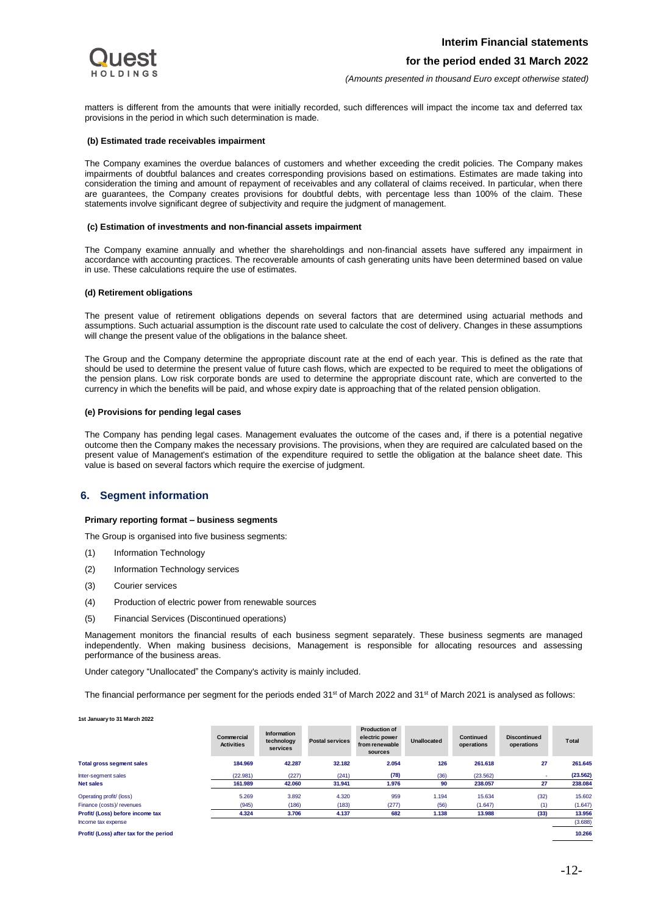*(Amounts presented in thousand Euro except otherwise stated)*

matters is different from the amounts that were initially recorded, such differences will impact the income tax and deferred tax provisions in the period in which such determination is made.

#### **(b) Estimated trade receivables impairment**

The Company examines the overdue balances of customers and whether exceeding the credit policies. The Company makes impairments of doubtful balances and creates corresponding provisions based on estimations. Estimates are made taking into consideration the timing and amount of repayment of receivables and any collateral of claims received. In particular, when there are guarantees, the Company creates provisions for doubtful debts, with percentage less than 100% of the claim. These statements involve significant degree of subjectivity and require the judgment of management.

#### **(c) Estimation of investments and non-financial assets impairment**

The Company examine annually and whether the shareholdings and non-financial assets have suffered any impairment in accordance with accounting practices. The recoverable amounts of cash generating units have been determined based on value in use. These calculations require the use of estimates.

#### **(d) Retirement obligations**

The present value of retirement obligations depends on several factors that are determined using actuarial methods and assumptions. Such actuarial assumption is the discount rate used to calculate the cost of delivery. Changes in these assumptions will change the present value of the obligations in the balance sheet.

The Group and the Company determine the appropriate discount rate at the end of each year. This is defined as the rate that should be used to determine the present value of future cash flows, which are expected to be required to meet the obligations of the pension plans. Low risk corporate bonds are used to determine the appropriate discount rate, which are converted to the currency in which the benefits will be paid, and whose expiry date is approaching that of the related pension obligation.

#### **(e) Provisions for pending legal cases**

The Company has pending legal cases. Management evaluates the outcome of the cases and, if there is a potential negative outcome then the Company makes the necessary provisions. The provisions, when they are required are calculated based on the present value of Management's estimation of the expenditure required to settle the obligation at the balance sheet date. This value is based on several factors which require the exercise of judgment.

## <span id="page-12-0"></span>**6. Segment information**

#### **Primary reporting format – business segments**

The Group is organised into five business segments:

- (1) Information Technology
- (2) Information Technology services
- (3) Courier services
- (4) Production of electric power from renewable sources
- (5) Financial Services (Discontinued operations)

Management monitors the financial results of each business segment separately. These business segments are managed independently. When making business decisions, Management is responsible for allocating resources and assessing performance of the business areas.

Under category "Unallocated" the Company's activity is mainly included.

The financial performance per segment for the periods ended 31st of March 2022 and 31st of March 2021 is analysed as follows:

**1st January to 31 March 2022**

|                                         | Commercial<br><b>Activities</b> | Information<br>technology<br>services | <b>Postal services</b> | <b>Production of</b><br>electric power<br>from renewable<br>sources | <b>Unallocated</b> | <b>Continued</b><br>operations | <b>Discontinued</b><br>operations | Total    |
|-----------------------------------------|---------------------------------|---------------------------------------|------------------------|---------------------------------------------------------------------|--------------------|--------------------------------|-----------------------------------|----------|
| <b>Total gross segment sales</b>        | 184.969                         | 42.287                                | 32.182                 | 2.054                                                               | 126                | 261.618                        | 27                                | 261.645  |
| Inter-segment sales                     | (22.981)                        | (227)                                 | (241)                  | (78)                                                                | (36)               | (23.562)                       |                                   | (23.562) |
| <b>Net sales</b>                        | 161.989                         | 42.060                                | 31.941                 | 1.976                                                               | 90                 | 238.057                        | 27                                | 238.084  |
| Operating profit/ (loss)                | 5.269                           | 3.892                                 | 4.320                  | 959                                                                 | 1.194              | 15.634                         | (32)                              | 15,602   |
| Finance (costs)/ revenues               | (945)                           | (186)                                 | (183)                  | (277)                                                               | (56)               | (1.647)                        | (1)                               | (1.647)  |
| Profit/ (Loss) before income tax        | 4.324                           | 3.706                                 | 4.137                  | 682                                                                 | 1.138              | 13.988                         | (33)                              | 13.956   |
| Income tax expense                      |                                 |                                       |                        |                                                                     |                    |                                |                                   | (3.688)  |
| Profit/ (Loss) after tax for the period |                                 |                                       |                        |                                                                     |                    |                                |                                   | 10.266   |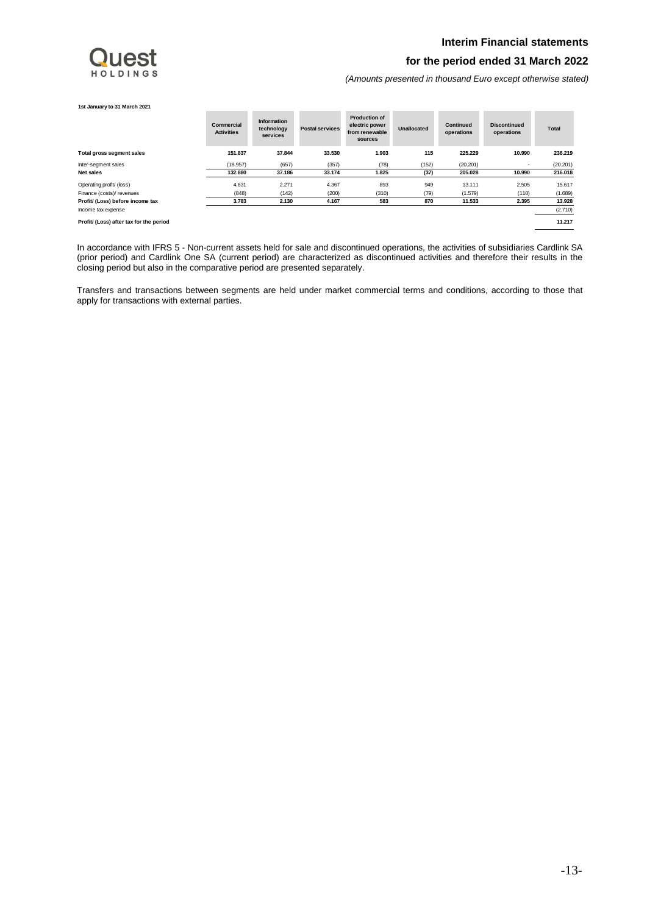## **Interim Financial statements**

# HOLDINGS

## **for the period ended 31 March 2022**

*(Amounts presented in thousand Euro except otherwise stated)*

#### **1st January to 31 March 2021**

|                                         | Commercial<br><b>Activities</b> | Information<br>technology<br>services | <b>Postal services</b> | <b>Production of</b><br>electric power<br>from renewable<br>sources | <b>Unallocated</b> | <b>Continued</b><br>operations | <b>Discontinued</b><br>operations | Total    |
|-----------------------------------------|---------------------------------|---------------------------------------|------------------------|---------------------------------------------------------------------|--------------------|--------------------------------|-----------------------------------|----------|
| Total gross segment sales               | 151.837                         | 37.844                                | 33.530                 | 1.903                                                               | 115                | 225.229                        | 10.990                            | 236.219  |
| Inter-segment sales                     | (18.957)                        | (657)                                 | (357)                  | (78)                                                                | (152)              | (20.201)                       | $\sim$                            | (20.201) |
| Net sales                               | 132.880                         | 37.186                                | 33.174                 | 1.825                                                               | (37)               | 205.028                        | 10.990                            | 216.018  |
| Operating profit/ (loss)                | 4.631                           | 2.271                                 | 4.367                  | 893                                                                 | 949                | 13.111                         | 2.505                             | 15.617   |
| Finance (costs)/ revenues               | (848)                           | (142)                                 | (200)                  | (310)                                                               | (79)               | (1.579)                        | (110)                             | (1.689)  |
| Profit/ (Loss) before income tax        | 3.783                           | 2.130                                 | 4.167                  | 583                                                                 | 870                | 11.533                         | 2.395                             | 13.928   |
| Income tax expense                      |                                 |                                       |                        |                                                                     |                    |                                |                                   | (2.710)  |
| Profit/ (Loss) after tax for the period |                                 |                                       |                        |                                                                     |                    |                                |                                   | 11.217   |

In accordance with IFRS 5 - Non-current assets held for sale and discontinued operations, the activities of subsidiaries Cardlink SA (prior period) and Cardlink One SA (current period) are characterized as discontinued activities and therefore their results in the closing period but also in the comparative period are presented separately.

Transfers and transactions between segments are held under market commercial terms and conditions, according to those that apply for transactions with external parties.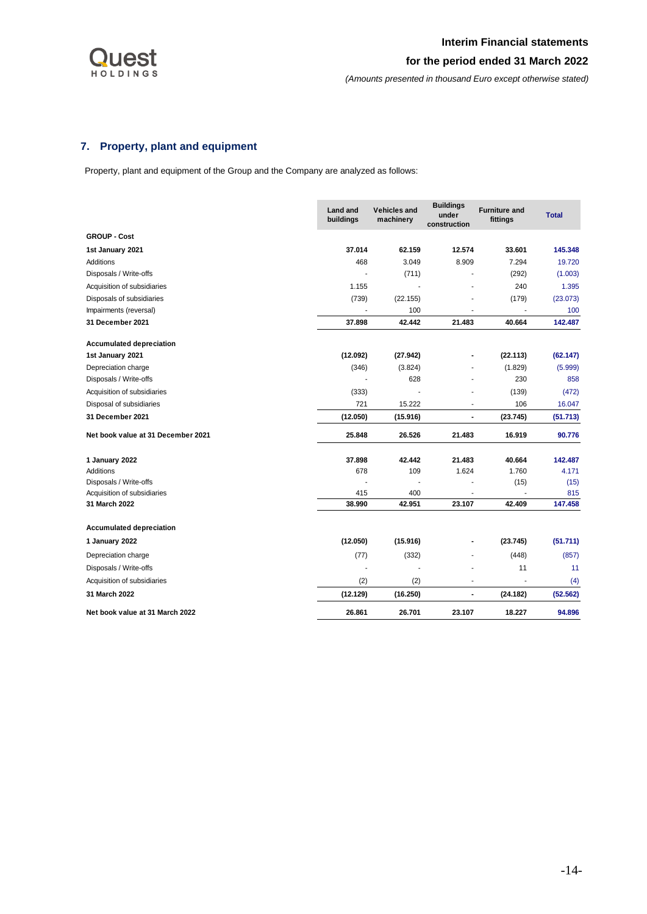

# <span id="page-14-0"></span>**7. Property, plant and equipment**

Property, plant and equipment of the Group and the Company are analyzed as follows:

|                                    | <b>Land and</b><br>buildings | <b>Vehicles and</b><br>machinery | <b>Buildings</b><br>under<br>construction | <b>Furniture and</b><br>fittings | <b>Total</b> |
|------------------------------------|------------------------------|----------------------------------|-------------------------------------------|----------------------------------|--------------|
| <b>GROUP - Cost</b>                |                              |                                  |                                           |                                  |              |
| 1st January 2021                   | 37.014                       | 62.159                           | 12.574                                    | 33.601                           | 145.348      |
| Additions                          | 468                          | 3.049                            | 8.909                                     | 7.294                            | 19.720       |
| Disposals / Write-offs             |                              | (711)                            |                                           | (292)                            | (1.003)      |
| Acquisition of subsidiaries        | 1.155                        |                                  |                                           | 240                              | 1.395        |
| Disposals of subsidiaries          | (739)                        | (22.155)                         |                                           | (179)                            | (23.073)     |
| Impairments (reversal)             |                              | 100                              |                                           |                                  | 100          |
| 31 December 2021                   | 37.898                       | 42.442                           | 21.483                                    | 40.664                           | 142.487      |
| <b>Accumulated depreciation</b>    |                              |                                  |                                           |                                  |              |
| 1st January 2021                   | (12.092)                     | (27.942)                         |                                           | (22.113)                         | (62.147)     |
| Depreciation charge                | (346)                        | (3.824)                          |                                           | (1.829)                          | (5.999)      |
| Disposals / Write-offs             |                              | 628                              |                                           | 230                              | 858          |
| Acquisition of subsidiaries        | (333)                        |                                  |                                           | (139)                            | (472)        |
| Disposal of subsidiaries           | 721                          | 15.222                           | $\overline{\phantom{a}}$                  | 106                              | 16.047       |
| <b>31 December 2021</b>            | (12.050)                     | (15.916)                         | $\blacksquare$                            | (23.745)                         | (51.713)     |
| Net book value at 31 December 2021 | 25.848                       | 26.526                           | 21.483                                    | 16.919                           | 90.776       |
| 1 January 2022                     | 37.898                       | 42.442                           | 21.483                                    | 40.664                           | 142.487      |
| <b>Additions</b>                   | 678                          | 109                              | 1.624                                     | 1.760                            | 4.171        |
| Disposals / Write-offs             |                              |                                  |                                           | (15)                             | (15)         |
| Acquisition of subsidiaries        | 415                          | 400                              |                                           |                                  | 815          |
| 31 March 2022                      | 38.990                       | 42.951                           | 23.107                                    | 42.409                           | 147.458      |
| <b>Accumulated depreciation</b>    |                              |                                  |                                           |                                  |              |
| 1 January 2022                     | (12.050)                     | (15.916)                         | -                                         | (23.745)                         | (51.711)     |
| Depreciation charge                | (77)                         | (332)                            |                                           | (448)                            | (857)        |
| Disposals / Write-offs             |                              |                                  |                                           | 11                               | 11           |
| Acquisition of subsidiaries        | (2)                          | (2)                              | ٠                                         |                                  | (4)          |
| 31 March 2022                      | (12.129)                     | (16.250)                         | $\blacksquare$                            | (24.182)                         | (52.562)     |
| Net book value at 31 March 2022    | 26.861                       | 26.701                           | 23.107                                    | 18.227                           | 94.896       |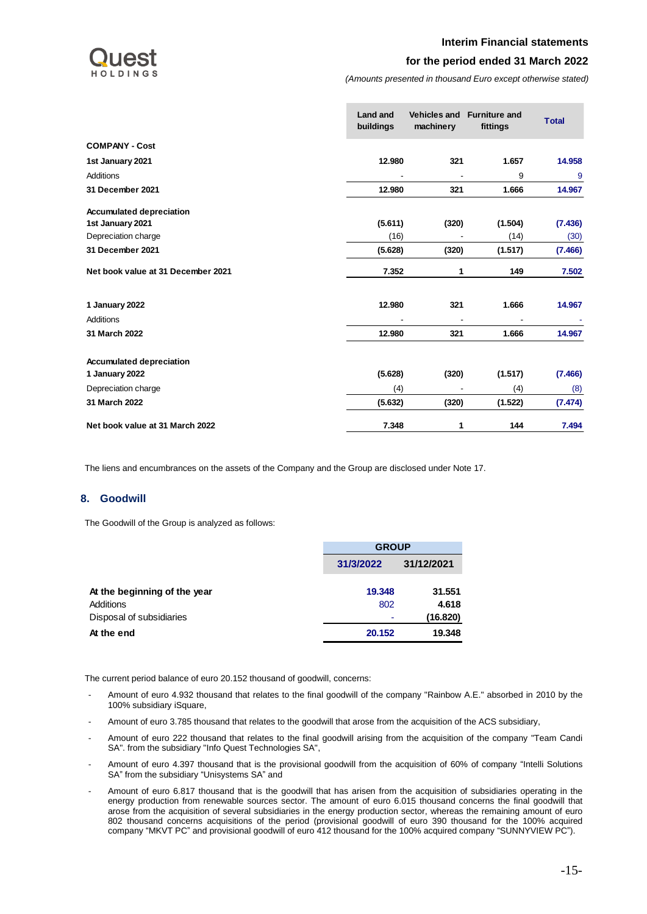## **Interim Financial statements**



## **for the period ended 31 March 2022**

*(Amounts presented in thousand Euro except otherwise stated)*

| <b>Land and</b><br>buildings | <b>Vehicles and</b><br>machinery | <b>Furniture and</b><br>fittings | <b>Total</b> |
|------------------------------|----------------------------------|----------------------------------|--------------|
|                              |                                  |                                  |              |
| 12.980                       | 321                              | 1.657                            | 14.958       |
|                              |                                  | 9                                | 9            |
| 12.980                       | 321                              | 1.666                            | 14.967       |
|                              |                                  |                                  |              |
| (5.611)                      | (320)                            | (1.504)                          | (7.436)      |
| (16)                         |                                  | (14)                             | (30)         |
| (5.628)                      | (320)                            | (1.517)                          | (7.466)      |
| 7.352                        | 1                                | 149                              | 7.502        |
| 12.980                       | 321                              | 1.666                            | 14.967       |
|                              |                                  | $\blacksquare$                   |              |
| 12.980                       | 321                              | 1.666                            | 14.967       |
|                              |                                  |                                  |              |
| (5.628)                      | (320)                            | (1.517)                          | (7.466)      |
| (4)                          |                                  | (4)                              | (8)          |
| (5.632)                      | (320)                            | (1.522)                          | (7.474)      |
| 7.348                        | 1                                | 144                              | 7.494        |

The liens and encumbrances on the assets of the Company and the Group are disclosed under Note 17.

## <span id="page-15-0"></span>**8. Goodwill**

The Goodwill of the Group is analyzed as follows:

|                              | <b>GROUP</b>     |            |  |  |
|------------------------------|------------------|------------|--|--|
|                              | 31/3/2022        | 31/12/2021 |  |  |
| At the beginning of the year | 19.348           | 31.551     |  |  |
| Additions                    | 802              | 4.618      |  |  |
| Disposal of subsidiaries     | ۰                | (16.820)   |  |  |
| At the end                   | 19.348<br>20.152 |            |  |  |

The current period balance of euro 20.152 thousand of goodwill, concerns:

- Amount of euro 4.932 thousand that relates to the final goodwill of the company "Rainbow A.E." absorbed in 2010 by the 100% subsidiary iSquare,
- Amount of euro 3.785 thousand that relates to the goodwill that arose from the acquisition of the ACS subsidiary,
- Amount of euro 222 thousand that relates to the final goodwill arising from the acquisition of the company "Team Candi SA". from the subsidiary "Info Quest Technologies SA",
- Amount of euro 4.397 thousand that is the provisional goodwill from the acquisition of 60% of company "Intelli Solutions SA" from the subsidiary "Unisystems SA" and
- Amount of euro 6.817 thousand that is the goodwill that has arisen from the acquisition of subsidiaries operating in the energy production from renewable sources sector. The amount of euro 6.015 thousand concerns the final goodwill that arose from the acquisition of several subsidiaries in the energy production sector, whereas the remaining amount of euro 802 thousand concerns acquisitions of the period (provisional goodwill of euro 390 thousand for the 100% acquired company "MKVT PC" and provisional goodwill of euro 412 thousand for the 100% acquired company "SUNNYVIEW PC").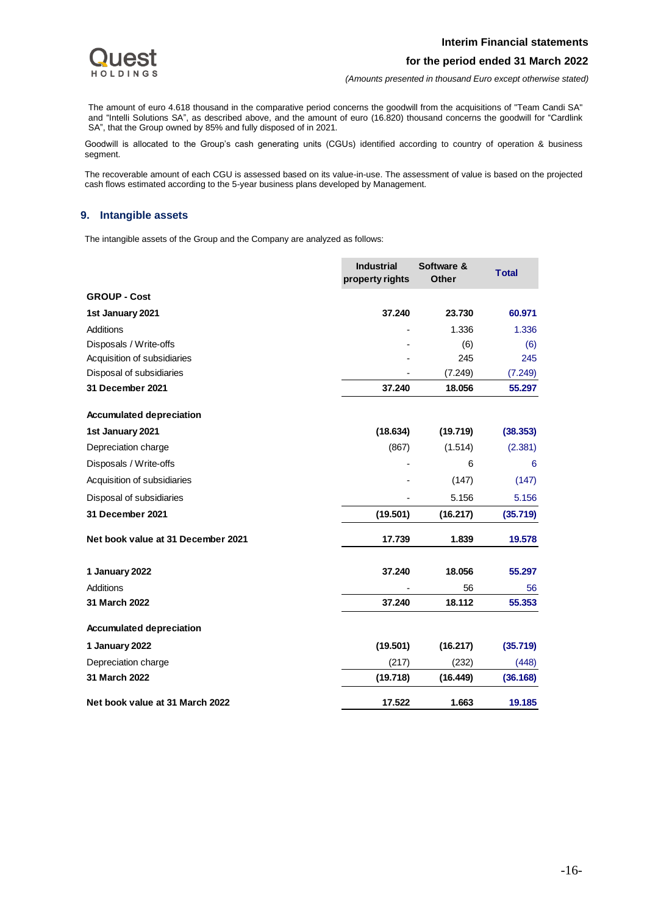

*(Amounts presented in thousand Euro except otherwise stated)*

The amount of euro 4.618 thousand in the comparative period concerns the goodwill from the acquisitions of "Team Candi SA" and "Intelli Solutions SA", as described above, and the amount of euro (16.820) thousand concerns the goodwill for "Cardlink SA", that the Group owned by 85% and fully disposed of in 2021.

Goodwill is allocated to the Group's cash generating units (CGUs) identified according to country of operation & business segment.

The recoverable amount of each CGU is assessed based on its value-in-use. The assessment of value is based on the projected cash flows estimated according to the 5-year business plans developed by Management.

## <span id="page-16-0"></span>**9. Intangible assets**

The intangible assets of the Group and the Company are analyzed as follows:

|                                    | <b>Industrial</b><br>property rights | Software &<br>Other | <b>Total</b> |
|------------------------------------|--------------------------------------|---------------------|--------------|
| <b>GROUP - Cost</b>                |                                      |                     |              |
| 1st January 2021                   | 37.240                               | 23.730              | 60.971       |
| Additions                          |                                      | 1.336               | 1.336        |
| Disposals / Write-offs             |                                      | (6)                 | (6)          |
| Acquisition of subsidiaries        |                                      | 245                 | 245          |
| Disposal of subsidiaries           |                                      | (7.249)             | (7.249)      |
| 31 December 2021                   | 37.240                               | 18.056              | 55.297       |
| <b>Accumulated depreciation</b>    |                                      |                     |              |
| 1st January 2021                   | (18.634)                             | (19.719)            | (38.353)     |
| Depreciation charge                | (867)                                | (1.514)             | (2.381)      |
| Disposals / Write-offs             |                                      | 6                   | 6            |
| Acquisition of subsidiaries        |                                      | (147)               | (147)        |
| Disposal of subsidiaries           |                                      | 5.156               | 5.156        |
| 31 December 2021                   | (19.501)                             | (16.217)            | (35.719)     |
| Net book value at 31 December 2021 | 17.739                               | 1.839               | 19.578       |
| 1 January 2022                     | 37.240                               | 18.056              | 55.297       |
| Additions                          |                                      | 56                  | 56           |
| 31 March 2022                      | 37.240                               | 18.112              | 55.353       |
| <b>Accumulated depreciation</b>    |                                      |                     |              |
| 1 January 2022                     | (19.501)                             | (16.217)            | (35.719)     |
| Depreciation charge                | (217)                                | (232)               | (448)        |
| 31 March 2022                      | (19.718)                             | (16.449)            | (36.168)     |
| Net book value at 31 March 2022    | 17.522                               | 1.663               | 19.185       |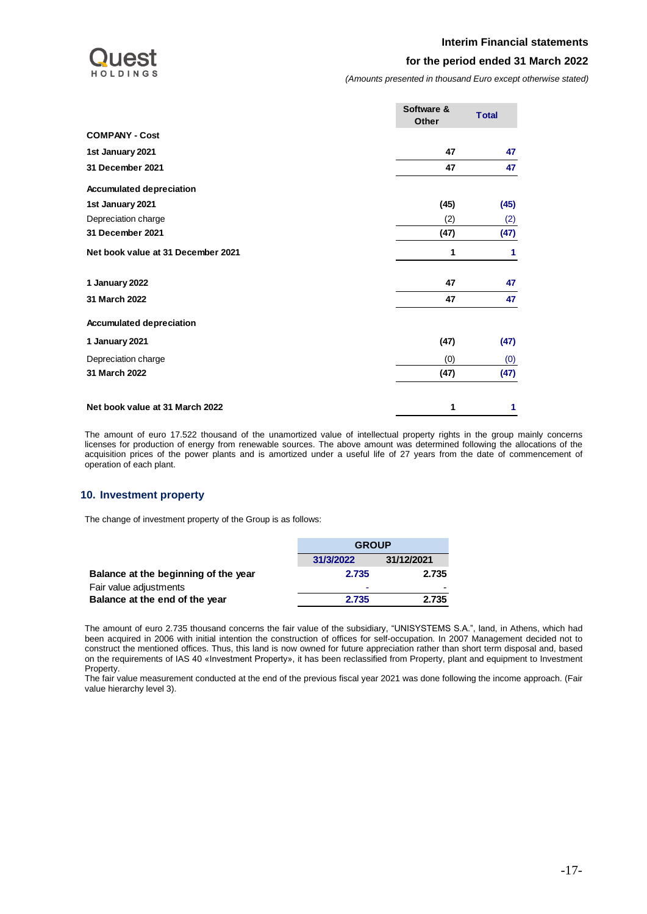

*(Amounts presented in thousand Euro except otherwise stated)*

|                                    | Software &<br><b>Other</b> | <b>Total</b> |
|------------------------------------|----------------------------|--------------|
| <b>COMPANY - Cost</b>              |                            |              |
| 1st January 2021                   | 47                         | 47           |
| 31 December 2021                   | 47                         | 47           |
| <b>Accumulated depreciation</b>    |                            |              |
| 1st January 2021                   | (45)                       | (45)         |
| Depreciation charge                | (2)                        | (2)          |
| 31 December 2021                   | (47)                       | (47)         |
| Net book value at 31 December 2021 | 1                          | 1            |
| 1 January 2022                     | 47                         | 47           |
| 31 March 2022                      | 47                         | 47           |
| <b>Accumulated depreciation</b>    |                            |              |
| 1 January 2021                     | (47)                       | (47)         |
| Depreciation charge                | (0)                        | (0)          |
| 31 March 2022                      | (47)                       | (47)         |
| Net book value at 31 March 2022    | 1                          | 1            |

The amount of euro 17.522 thousand of the unamortized value of intellectual property rights in the group mainly concerns licenses for production of energy from renewable sources. The above amount was determined following the allocations of the acquisition prices of the power plants and is amortized under a useful life of 27 years from the date of commencement of operation of each plant.

## <span id="page-17-0"></span>**10. Investment property**

The change of investment property of the Group is as follows:

|                                      | <b>GROUP</b> |            |  |
|--------------------------------------|--------------|------------|--|
|                                      | 31/3/2022    | 31/12/2021 |  |
| Balance at the beginning of the year | 2.735        | 2.735      |  |
| Fair value adjustments               | ۰            |            |  |
| Balance at the end of the year       | 2.735        | 2.735      |  |

The amount of euro 2.735 thousand concerns the fair value of the subsidiary, "UNISYSTEMS S.A.", land, in Athens, which had been acquired in 2006 with initial intention the construction of offices for self-occupation. In 2007 Management decided not to construct the mentioned offices. Thus, this land is now owned for future appreciation rather than short term disposal and, based on the requirements of IAS 40 «Investment Property», it has been reclassified from Property, plant and equipment to Investment Property.

The fair value measurement conducted at the end of the previous fiscal year 2021 was done following the income approach. (Fair value hierarchy level 3).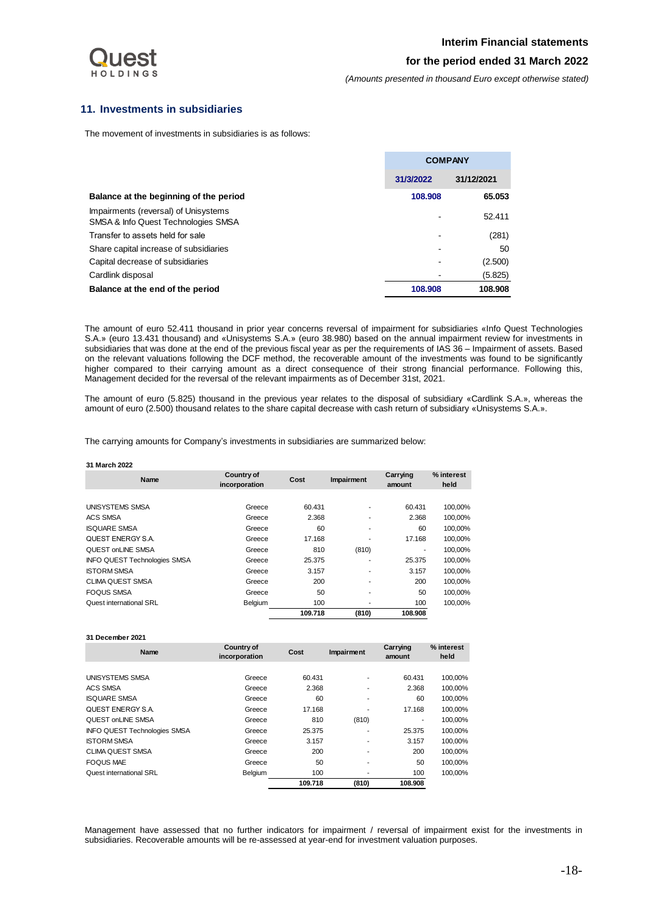

*(Amounts presented in thousand Euro except otherwise stated)*

## <span id="page-18-0"></span>**11. Investments in subsidiaries**

The movement of investments in subsidiaries is as follows:

|                                                                             | <b>COMPANY</b> |            |
|-----------------------------------------------------------------------------|----------------|------------|
|                                                                             | 31/3/2022      | 31/12/2021 |
| Balance at the beginning of the period                                      | 108.908        | 65.053     |
| Impairments (reversal) of Unisystems<br>SMSA & Info Quest Technologies SMSA |                | 52.411     |
| Transfer to assets held for sale                                            |                | (281)      |
| Share capital increase of subsidiaries                                      |                | 50         |
| Capital decrease of subsidiaries                                            | -              | (2.500)    |
| Cardlink disposal                                                           |                | (5.825)    |
| Balance at the end of the period                                            | 108,908        | 108.908    |

The amount of euro 52.411 thousand in prior year concerns reversal of impairment for subsidiaries «Info Quest Technologies S.A.» (euro 13.431 thousand) and «Unisystems S.A.» (euro 38.980) based on the annual impairment review for investments in subsidiaries that was done at the end of the previous fiscal year as per the requirements of IAS 36 – Impairment of assets. Based on the relevant valuations following the DCF method, the recoverable amount of the investments was found to be significantly higher compared to their carrying amount as a direct consequence of their strong financial performance. Following this, Management decided for the reversal of the relevant impairments as of December 31st, 2021.

The amount of euro (5.825) thousand in the previous year relates to the disposal of subsidiary «Cardlink S.A.», whereas the amount of euro (2.500) thousand relates to the share capital decrease with cash return of subsidiary «Unisystems S.A.».

The carrying amounts for Company's investments in subsidiaries are summarized below:

#### **31 March 2022**

| Name                                | Country of<br>incorporation | Cost    | Impairment | Carrying<br>amount | % interest<br>held |
|-------------------------------------|-----------------------------|---------|------------|--------------------|--------------------|
|                                     |                             |         |            |                    |                    |
| UNISYSTEMS SMSA                     | Greece                      | 60.431  |            | 60.431             | 100,00%            |
| <b>ACS SMSA</b>                     | Greece                      | 2.368   |            | 2.368              | 100.00%            |
| <b>ISQUARE SMSA</b>                 | Greece                      | 60      |            | 60                 | 100,00%            |
| <b>QUEST ENERGY S.A.</b>            | Greece                      | 17.168  |            | 17.168             | 100,00%            |
| <b>QUEST onLINE SMSA</b>            | Greece                      | 810     | (810)      | ٠                  | 100.00%            |
| <b>INFO QUEST Technologies SMSA</b> | Greece                      | 25.375  | ۰          | 25.375             | 100,00%            |
| <b>ISTORM SMSA</b>                  | Greece                      | 3.157   |            | 3.157              | 100,00%            |
| <b>CLIMA QUEST SMSA</b>             | Greece                      | 200     |            | 200                | 100,00%            |
| <b>FOQUS SMSA</b>                   | Greece                      | 50      |            | 50                 | 100.00%            |
| Quest international SRL             | Belgium                     | 100     |            | 100                | 100.00%            |
|                                     |                             | 109.718 | (810)      | 108.908            |                    |

# **31 December 2021**

| Name                                | Country of<br>incorporation | Cost    | Impairment               | Carrying<br>amount | % interest<br>held |
|-------------------------------------|-----------------------------|---------|--------------------------|--------------------|--------------------|
|                                     |                             |         |                          |                    |                    |
| UNISYSTEMS SMSA                     | Greece                      | 60.431  |                          | 60.431             | 100,00%            |
| <b>ACS SMSA</b>                     | Greece                      | 2.368   | ۰                        | 2.368              | 100.00%            |
| <b>ISQUARE SMSA</b>                 | Greece                      | 60      | ۰                        | 60                 | 100.00%            |
| <b>QUEST ENERGY S.A.</b>            | Greece                      | 17.168  |                          | 17.168             | 100,00%            |
| QUEST onLINE SMSA                   | Greece                      | 810     | (810)                    | ۰                  | 100,00%            |
| <b>INFO QUEST Technologies SMSA</b> | Greece                      | 25.375  | ۰                        | 25.375             | 100,00%            |
| <b>ISTORM SMSA</b>                  | Greece                      | 3.157   | $\overline{\phantom{a}}$ | 3.157              | 100,00%            |
| CLIMA QUEST SMSA                    | Greece                      | 200     | ۰                        | 200                | 100.00%            |
| <b>FOQUS MAE</b>                    | Greece                      | 50      |                          | 50                 | 100.00%            |
| Quest international SRL             | Belgium                     | 100     |                          | 100                | 100,00%            |
|                                     |                             | 109.718 | (810)                    | 108.908            |                    |

Management have assessed that no further indicators for impairment / reversal of impairment exist for the investments in subsidiaries. Recoverable amounts will be re-assessed at year-end for investment valuation purposes.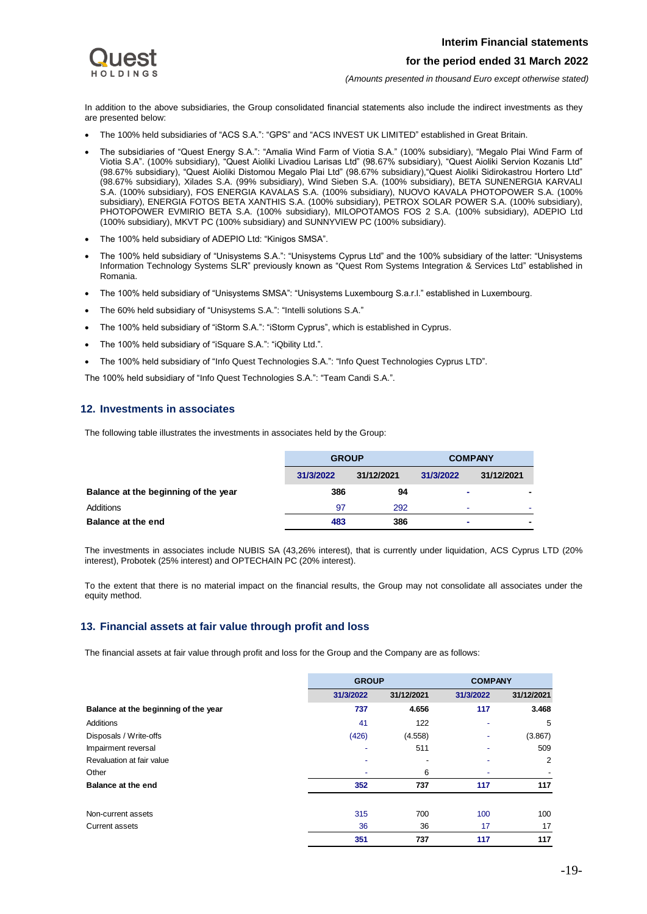

*(Amounts presented in thousand Euro except otherwise stated)*

In addition to the above subsidiaries, the Group consolidated financial statements also include the indirect investments as they are presented below:

- The 100% held subsidiaries of "ACS S.A.": "GPS" and "ACS INVEST UK LIMITED" established in Great Britain.
- The subsidiaries of "Quest Energy S.A.": "Amalia Wind Farm of Viotia S.Α." (100% subsidiary), "Megalo Plai Wind Farm of Viotia S.Α". (100% subsidiary), "Quest Aioliki Livadiou Larisas Ltd" (98.67% subsidiary), "Quest Aioliki Servion Kozanis Ltd" (98.67% subsidiary), "Quest Aioliki Distomou Megalo Plai Ltd" (98.67% subsidiary),"Quest Aioliki Sidirokastrou Hortero Ltd" (98.67% subsidiary), Xilades S.A. (99% subsidiary), Wind Sieben S.A. (100% subsidiary), BETA SUNENERGIA KARVALI S.A. (100% subsidiary), FOS ENERGIA KAVALAS S.A. (100% subsidiary), NUOVO KAVALA PHOTOPOWER S.A. (100% subsidiary), ENERGIA FOTOS BETA XANTHIS S.A. (100% subsidiary), PETROX SOLAR POWER S.A. (100% subsidiary), PHOTOPOWER EVMIRIO BETA S.A. (100% subsidiary), MILOPOTAMOS FOS 2 S.A. (100% subsidiary), ADEPIO Ltd (100% subsidiary), MKVT PC (100% subsidiary) and SUNNYVIEW PC (100% subsidiary).
- The 100% held subsidiary of ADEPIO Ltd: "Kinigos SMSA".
- The 100% held subsidiary of "Unisystems S.A.": "Unisystems Cyprus Ltd" and the 100% subsidiary of the latter: "Unisystems Information Technology Systems SLR" previously known as "Quest Rom Systems Integration & Services Ltd" established in Romania.
- The 100% held subsidiary of "Unisystems SMSA": "Unisystems Luxembourg S.a.r.l." established in Luxembourg.
- The 60% held subsidiary of "Unisystems S.A.": "Intelli solutions S.A."
- The 100% held subsidiary of "iStorm S.A.": "iStorm Cyprus", which is established in Cyprus.
- The 100% held subsidiary of "iSquare S.A.": "iQbility Ltd.".
- The 100% held subsidiary of "Info Quest Technologies S.A.": "Info Quest Technologies Cyprus LTD".

The 100% held subsidiary of "Info Quest Technologies S.A.": "Team Candi S.A.".

## <span id="page-19-0"></span>**12. Investments in associates**

The following table illustrates the investments in associates held by the Group:

|                                      | <b>GROUP</b> |            | <b>COMPANY</b> |            |
|--------------------------------------|--------------|------------|----------------|------------|
|                                      | 31/3/2022    | 31/12/2021 | 31/3/2022      | 31/12/2021 |
| Balance at the beginning of the year | 386          | 94         | ۰              | ٠          |
| Additions                            | 97           | 292        | ۰              | ٠          |
| <b>Balance at the end</b>            | 483          | 386        | ۰              | ٠          |

The investments in associates include NUBIS SA (43,26% interest), that is currently under liquidation, ACS Cyprus LTD (20% interest), Probotek (25% interest) and OPTECHAIN PC (20% interest).

To the extent that there is no material impact on the financial results, the Group may not consolidate all associates under the equity method.

## <span id="page-19-1"></span>**13. Financial assets at fair value through profit and loss**

The financial assets at fair value through profit and loss for the Group and the Company are as follows:

|                                      | <b>GROUP</b>             |            | <b>COMPANY</b> |            |
|--------------------------------------|--------------------------|------------|----------------|------------|
|                                      | 31/3/2022                | 31/12/2021 | 31/3/2022      | 31/12/2021 |
| Balance at the beginning of the year | 737                      | 4.656      | 117            | 3.468      |
| Additions                            | 41                       | 122        |                | 5          |
| Disposals / Write-offs               | (426)                    | (4.558)    |                | (3.867)    |
| Impairment reversal                  | $\overline{\phantom{a}}$ | 511        |                | 509        |
| Revaluation at fair value            |                          |            |                | 2          |
| Other                                |                          | 6          |                |            |
| Balance at the end                   | 352                      | 737        | 117            | 117        |
| Non-current assets                   | 315                      | 700        | 100            | 100        |
| <b>Current assets</b>                | 36                       | 36         | 17             | 17         |
|                                      | 351                      | 737        | 117            | 117        |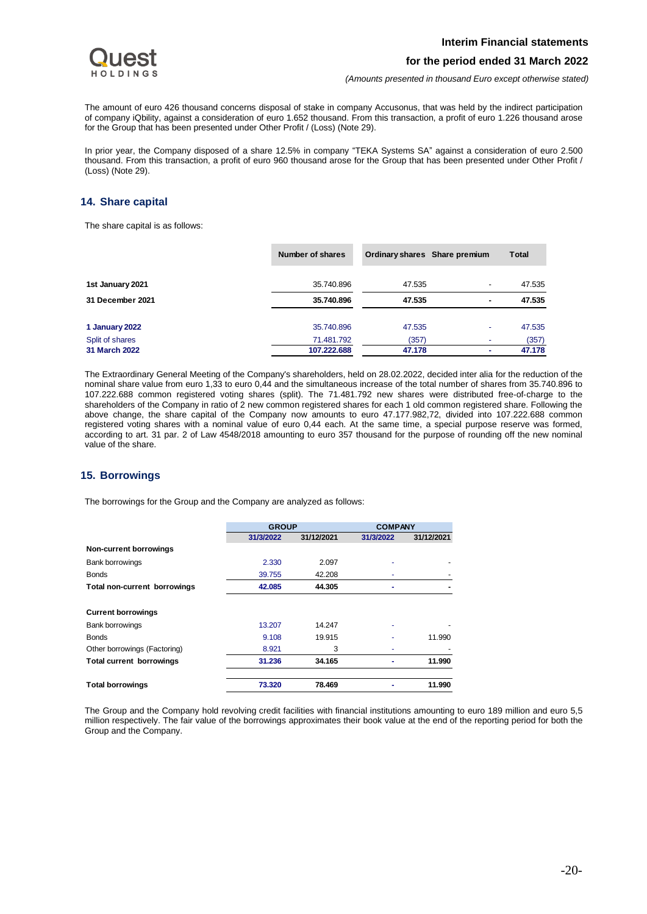

*(Amounts presented in thousand Euro except otherwise stated)*

The amount of euro 426 thousand concerns disposal of stake in company Accusonus, that was held by the indirect participation of company iQbility, against a consideration of euro 1.652 thousand. From this transaction, a profit of euro 1.226 thousand arose for the Group that has been presented under Other Profit / (Loss) (Note 29).

In prior year, the Company disposed of a share 12.5% in company "TEKA Systems SA" against a consideration of euro 2.500 thousand. From this transaction, a profit of euro 960 thousand arose for the Group that has been presented under Other Profit / (Loss) (Note 29).

## <span id="page-20-0"></span>**14. Share capital**

The share capital is as follows:

|                  | Number of shares | Ordinary shares Share premium |                          | <b>Total</b> |
|------------------|------------------|-------------------------------|--------------------------|--------------|
| 1st January 2021 | 35.740.896       | 47.535                        | $\overline{\phantom{a}}$ | 47.535       |
| 31 December 2021 | 35.740.896       | 47.535                        | $\blacksquare$           | 47.535       |
| 1 January 2022   | 35.740.896       | 47.535                        | $\overline{\phantom{a}}$ | 47.535       |
| Split of shares  | 71.481.792       | (357)                         |                          | (357)        |
| 31 March 2022    | 107.222.688      | 47.178                        | ۰                        | 47.178       |

The Extraordinary General Meeting of the Company's shareholders, held on 28.02.2022, decided inter alia for the reduction of the nominal share value from euro 1,33 to euro 0,44 and the simultaneous increase of the total number of shares from 35.740.896 to 107.222.688 common registered voting shares (split). The 71.481.792 new shares were distributed free‐of‐charge to the shareholders of the Company in ratio of 2 new common registered shares for each 1 old common registered share. Following the above change, the share capital of the Company now amounts to euro 47.177.982,72, divided into 107.222.688 common registered voting shares with a nominal value of euro 0,44 each. At the same time, a special purpose reserve was formed, according to art. 31 par. 2 of Law 4548/2018 amounting to euro 357 thousand for the purpose of rounding off the new nominal value of the share.

## <span id="page-20-1"></span>**15. Borrowings**

The borrowings for the Group and the Company are analyzed as follows:

|                                     | <b>GROUP</b> |            | <b>COMPANY</b> |            |
|-------------------------------------|--------------|------------|----------------|------------|
|                                     | 31/3/2022    | 31/12/2021 | 31/3/2022      | 31/12/2021 |
| Non-current borrowings              |              |            |                |            |
| <b>Bank borrowings</b>              | 2.330        | 2.097      |                |            |
| <b>Bonds</b>                        | 39.755       | 42.208     |                |            |
| <b>Total non-current borrowings</b> | 42.085       | 44.305     |                |            |
| <b>Current borrowings</b>           |              |            |                |            |
| <b>Bank borrowings</b>              | 13.207       | 14.247     |                |            |
| <b>Bonds</b>                        | 9.108        | 19.915     |                | 11.990     |
| Other borrowings (Factoring)        | 8.921        | 3          |                |            |
| <b>Total current borrowings</b>     | 31.236       | 34.165     |                | 11.990     |
| <b>Total borrowings</b>             | 73.320       | 78.469     |                | 11.990     |

The Group and the Company hold revolving credit facilities with financial institutions amounting to euro 189 million and euro 5,5 million respectively. The fair value of the borrowings approximates their book value at the end of the reporting period for both the Group and the Company.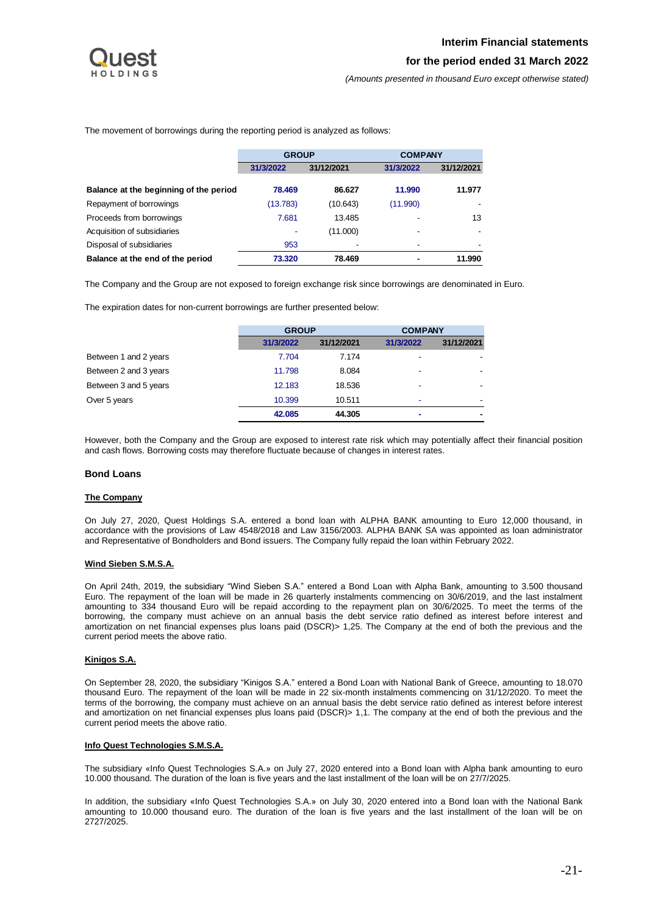

The movement of borrowings during the reporting period is analyzed as follows:

|                                        | <b>GROUP</b> |            | <b>COMPANY</b> |            |
|----------------------------------------|--------------|------------|----------------|------------|
|                                        | 31/3/2022    | 31/12/2021 | 31/3/2022      | 31/12/2021 |
| Balance at the beginning of the period | 78.469       | 86.627     | 11.990         | 11.977     |
| Repayment of borrowings                | (13.783)     | (10.643)   | (11.990)       |            |
| Proceeds from borrowings               | 7.681        | 13.485     |                | 13         |
| Acquisition of subsidiaries            |              | (11.000)   |                |            |
| Disposal of subsidiaries               | 953          | ۰          |                |            |
| Balance at the end of the period       | 73.320       | 78.469     |                | 11.990     |

The Company and the Group are not exposed to foreign exchange risk since borrowings are denominated in Euro.

The expiration dates for non-current borrowings are further presented below:

|                       | <b>GROUP</b> |            | <b>COMPANY</b> |                          |
|-----------------------|--------------|------------|----------------|--------------------------|
|                       | 31/3/2022    | 31/12/2021 | 31/3/2022      | 31/12/2021               |
| Between 1 and 2 years | 7.704        | 7.174      | ۰              |                          |
| Between 2 and 3 years | 11.798       | 8.084      |                | $\overline{\phantom{a}}$ |
| Between 3 and 5 years | 12.183       | 18.536     | ۰              | $\overline{\phantom{a}}$ |
| Over 5 years          | 10.399       | 10.511     | ۰              | -                        |
|                       | 42.085       | 44.305     | ۰              | $\overline{\phantom{0}}$ |

However, both the Company and the Group are exposed to interest rate risk which may potentially affect their financial position and cash flows. Borrowing costs may therefore fluctuate because of changes in interest rates.

#### **Bond Loans**

#### **The Company**

On July 27, 2020, Quest Holdings S.A. entered a bond loan with ALPHA BANK amounting to Euro 12,000 thousand, in accordance with the provisions of Law 4548/2018 and Law 3156/2003. ALPHA BANK SA was appointed as loan administrator and Representative of Bondholders and Bond issuers. The Company fully repaid the loan within February 2022.

### **Wind Sieben S.M.S.A.**

On April 24th, 2019, the subsidiary "Wind Sieben S.A." entered a Bond Loan with Alpha Bank, amounting to 3.500 thousand Euro. The repayment of the loan will be made in 26 quarterly instalments commencing on 30/6/2019, and the last instalment amounting to 334 thousand Euro will be repaid according to the repayment plan on 30/6/2025. To meet the terms of the borrowing, the company must achieve on an annual basis the debt service ratio defined as interest before interest and amortization on net financial expenses plus loans paid (DSCR)> 1,25. The Company at the end of both the previous and the current period meets the above ratio.

#### **Kinigos S.A.**

On September 28, 2020, the subsidiary "Kinigos S.A." entered a Bond Loan with National Bank of Greece, amounting to 18.070 thousand Euro. The repayment of the loan will be made in 22 six-month instalments commencing on 31/12/2020. To meet the terms of the borrowing, the company must achieve on an annual basis the debt service ratio defined as interest before interest and amortization on net financial expenses plus loans paid (DSCR) > 1,1. The company at the end of both the previous and the current period meets the above ratio.

#### **Info Quest Technologies S.M.S.A.**

The subsidiary «Info Quest Technologies S.A.» on July 27, 2020 entered into a Bond loan with Alpha bank amounting to euro 10.000 thousand. The duration of the loan is five years and the last installment of the loan will be on 27/7/2025.

In addition, the subsidiary «Info Quest Technologies S.A.» on July 30, 2020 entered into a Bond loan with the National Bank amounting to 10.000 thousand euro. The duration of the loan is five years and the last installment of the loan will be on 2727/2025.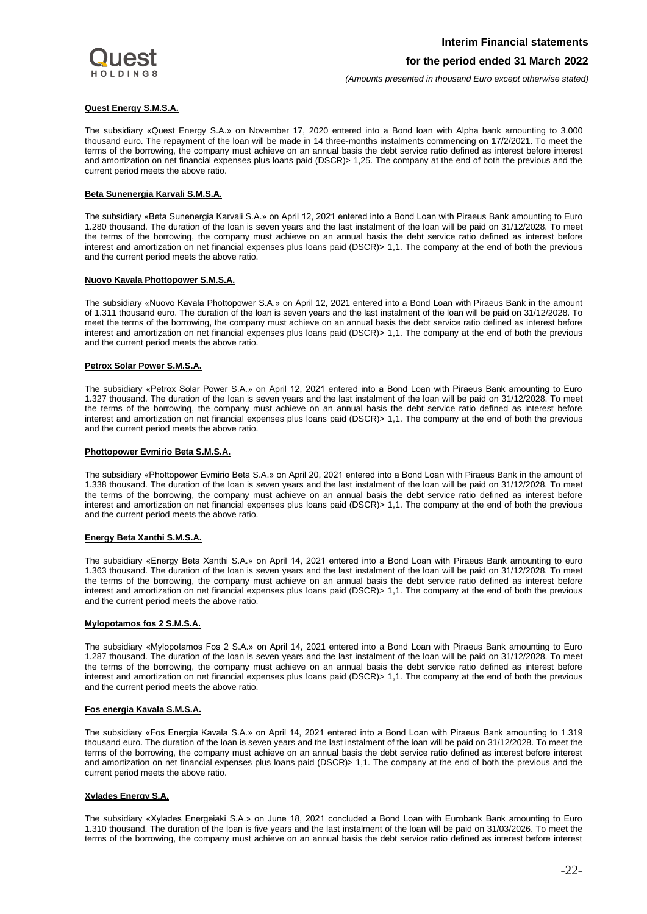

*(Amounts presented in thousand Euro except otherwise stated)*

#### **Quest Energy S.M.S.A.**

The subsidiary «Quest Energy S.A.» on November 17, 2020 entered into a Bond loan with Alpha bank amounting to 3.000 thousand euro. The repayment of the loan will be made in 14 three-months instalments commencing on 17/2/2021. To meet the terms of the borrowing, the company must achieve on an annual basis the debt service ratio defined as interest before interest and amortization on net financial expenses plus loans paid (DSCR)> 1,25. The company at the end of both the previous and the current period meets the above ratio.

#### **Beta Sunenergia Karvali S.M.S.A.**

The subsidiary «Beta Sunenergia Karvali S.A.» on April 12, 2021 entered into a Bond Loan with Piraeus Bank amounting to Euro 1.280 thousand. The duration of the loan is seven years and the last instalment of the loan will be paid on 31/12/2028. To meet the terms of the borrowing, the company must achieve on an annual basis the debt service ratio defined as interest before interest and amortization on net financial expenses plus loans paid (DSCR)> 1,1. The company at the end of both the previous and the current period meets the above ratio.

#### **Nuovo Kavala Phottopower S.M.S.A.**

The subsidiary «Nuovo Kavala Phottopower S.A.» on April 12, 2021 entered into a Bond Loan with Piraeus Bank in the amount of 1.311 thousand euro. The duration of the loan is seven years and the last instalment of the loan will be paid on 31/12/2028. To meet the terms of the borrowing, the company must achieve on an annual basis the debt service ratio defined as interest before interest and amortization on net financial expenses plus loans paid (DSCR)> 1,1. The company at the end of both the previous and the current period meets the above ratio.

#### **Petrox Solar Power S.M.S.A.**

The subsidiary «Petrox Solar Power S.A.» on April 12, 2021 entered into a Bond Loan with Piraeus Bank amounting to Euro 1.327 thousand. The duration of the loan is seven years and the last instalment of the loan will be paid on 31/12/2028. To meet the terms of the borrowing, the company must achieve on an annual basis the debt service ratio defined as interest before interest and amortization on net financial expenses plus loans paid (DSCR)> 1,1. The company at the end of both the previous and the current period meets the above ratio.

#### **Phottopower Evmirio Beta S.M.S.A.**

The subsidiary «Phottopower Evmirio Beta S.A.» on April 20, 2021 entered into a Bond Loan with Piraeus Bank in the amount of 1.338 thousand. The duration of the loan is seven years and the last instalment of the loan will be paid on 31/12/2028. To meet the terms of the borrowing, the company must achieve on an annual basis the debt service ratio defined as interest before interest and amortization on net financial expenses plus loans paid (DSCR)> 1,1. The company at the end of both the previous and the current period meets the above ratio.

#### **Energy Beta Xanthi S.M.S.A.**

The subsidiary «Energy Beta Xanthi S.A.» on April 14, 2021 entered into a Bond Loan with Piraeus Bank amounting to euro 1.363 thousand. The duration of the loan is seven years and the last instalment of the loan will be paid on 31/12/2028. To meet the terms of the borrowing, the company must achieve on an annual basis the debt service ratio defined as interest before interest and amortization on net financial expenses plus loans paid (DSCR)> 1,1. The company at the end of both the previous and the current period meets the above ratio.

## **Mylopotamos fos 2 S.M.S.A.**

The subsidiary «Mylopotamos Fos 2 S.A.» on April 14, 2021 entered into a Bond Loan with Piraeus Bank amounting to Euro 1.287 thousand. The duration of the loan is seven years and the last instalment of the loan will be paid on 31/12/2028. To meet the terms of the borrowing, the company must achieve on an annual basis the debt service ratio defined as interest before interest and amortization on net financial expenses plus loans paid (DSCR)> 1,1. The company at the end of both the previous and the current period meets the above ratio.

#### **Fos energia Kavala S.M.S.A.**

The subsidiary «Fos Energia Kavala S.A.» on April 14, 2021 entered into a Bond Loan with Piraeus Bank amounting to 1.319 thousand euro. The duration of the loan is seven years and the last instalment of the loan will be paid on 31/12/2028. To meet the terms of the borrowing, the company must achieve on an annual basis the debt service ratio defined as interest before interest and amortization on net financial expenses plus loans paid (DSCR)> 1,1. The company at the end of both the previous and the current period meets the above ratio.

## **Xylades Energy S.A.**

The subsidiary «Xylades Energeiaki S.A.» on June 18, 2021 concluded a Bond Loan with Eurobank Bank amounting to Euro 1.310 thousand. The duration of the loan is five years and the last instalment of the loan will be paid on 31/03/2026. To meet the terms of the borrowing, the company must achieve on an annual basis the debt service ratio defined as interest before interest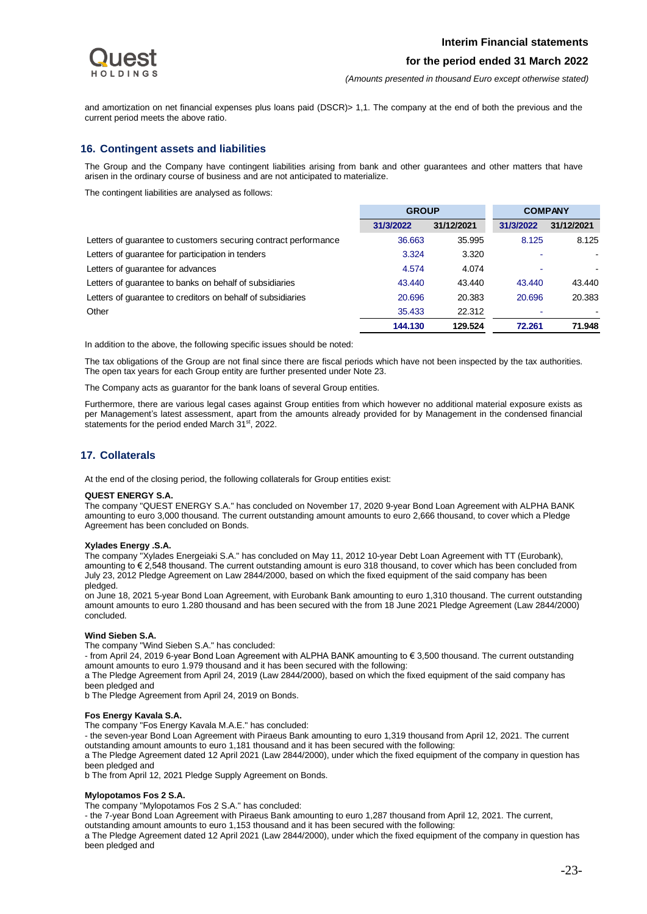*(Amounts presented in thousand Euro except otherwise stated)*

and amortization on net financial expenses plus loans paid (DSCR) > 1,1. The company at the end of both the previous and the current period meets the above ratio.

## <span id="page-23-0"></span>**16. Contingent assets and liabilities**

The Group and the Company have contingent liabilities arising from bank and other guarantees and other matters that have arisen in the ordinary course of business and are not anticipated to materialize.

The contingent liabilities are analysed as follows:

|                                                                 | <b>GROUP</b> |            |           | <b>COMPANY</b> |
|-----------------------------------------------------------------|--------------|------------|-----------|----------------|
|                                                                 | 31/3/2022    | 31/12/2021 | 31/3/2022 | 31/12/2021     |
| Letters of quarantee to customers securing contract performance | 36.663       | 35.995     | 8.125     | 8.125          |
| Letters of guarantee for participation in tenders               | 3.324        | 3.320      |           |                |
| Letters of guarantee for advances                               | 4.574        | 4.074      |           |                |
| Letters of quarantee to banks on behalf of subsidiaries         | 43.440       | 43.440     | 43.440    | 43.440         |
| Letters of quarantee to creditors on behalf of subsidiaries     | 20.696       | 20.383     | 20.696    | 20.383         |
| Other                                                           | 35.433       | 22.312     |           |                |
|                                                                 | 144.130      | 129.524    | 72.261    | 71.948         |

In addition to the above, the following specific issues should be noted:

The tax obligations of the Group are not final since there are fiscal periods which have not been inspected by the tax authorities. The open tax years for each Group entity are further presented under Note 23.

The Company acts as guarantor for the bank loans of several Group entities.

Furthermore, there are various legal cases against Group entities from which however no additional material exposure exists as per Management's latest assessment, apart from the amounts already provided for by Management in the condensed financial statements for the period ended March 31<sup>st</sup>, 2022.

## <span id="page-23-1"></span>**17. Collaterals**

At the end of the closing period, the following collaterals for Group entities exist:

#### **QUEST ENERGY S.A.**

The company "QUEST ENERGY S.A." has concluded on November 17, 2020 9-year Bond Loan Agreement with ALPHA BANK amounting to euro 3,000 thousand. The current outstanding amount amounts to euro 2,666 thousand, to cover which a Pledge Agreement has been concluded on Bonds.

#### **Xylades Energy .S.A.**

The company "Xylades Energeiaki S.A." has concluded on May 11, 2012 10-year Debt Loan Agreement with TT (Eurobank), amounting to € 2,548 thousand. The current outstanding amount is euro 318 thousand, to cover which has been concluded from July 23, 2012 Pledge Agreement on Law 2844/2000, based on which the fixed equipment of the said company has been pledged.

on June 18, 2021 5-year Bond Loan Agreement, with Eurobank Bank amounting to euro 1,310 thousand. The current outstanding amount amounts to euro 1.280 thousand and has been secured with the from 18 June 2021 Pledge Agreement (Law 2844/2000) concluded.

#### **Wind Sieben S.A.**

The company "Wind Sieben S.A." has concluded:

- from April 24, 2019 6-year Bond Loan Agreement with ALPHA BANK amounting to € 3,500 thousand. The current outstanding amount amounts to euro 1.979 thousand and it has been secured with the following:

a The Pledge Agreement from April 24, 2019 (Law 2844/2000), based on which the fixed equipment of the said company has been pledged and

b The Pledge Agreement from April 24, 2019 on Bonds.

#### **Fos Energy Kavala S.A.**

The company "Fos Energy Kavala M.A.E." has concluded:

- the seven-year Bond Loan Agreement with Piraeus Bank amounting to euro 1,319 thousand from April 12, 2021. The current outstanding amount amounts to euro 1,181 thousand and it has been secured with the following:

a The Pledge Agreement dated 12 April 2021 (Law 2844/2000), under which the fixed equipment of the company in question has been pledged and

b The from April 12, 2021 Pledge Supply Agreement on Bonds.

#### **Mylopotamos Fos 2 S.A.**

The company "Mylopotamos Fos 2 S.A." has concluded:

- the 7-year Bond Loan Agreement with Piraeus Bank amounting to euro 1,287 thousand from April 12, 2021. The current,

outstanding amount amounts to euro 1,153 thousand and it has been secured with the following:

a The Pledge Agreement dated 12 April 2021 (Law 2844/2000), under which the fixed equipment of the company in question has been pledged and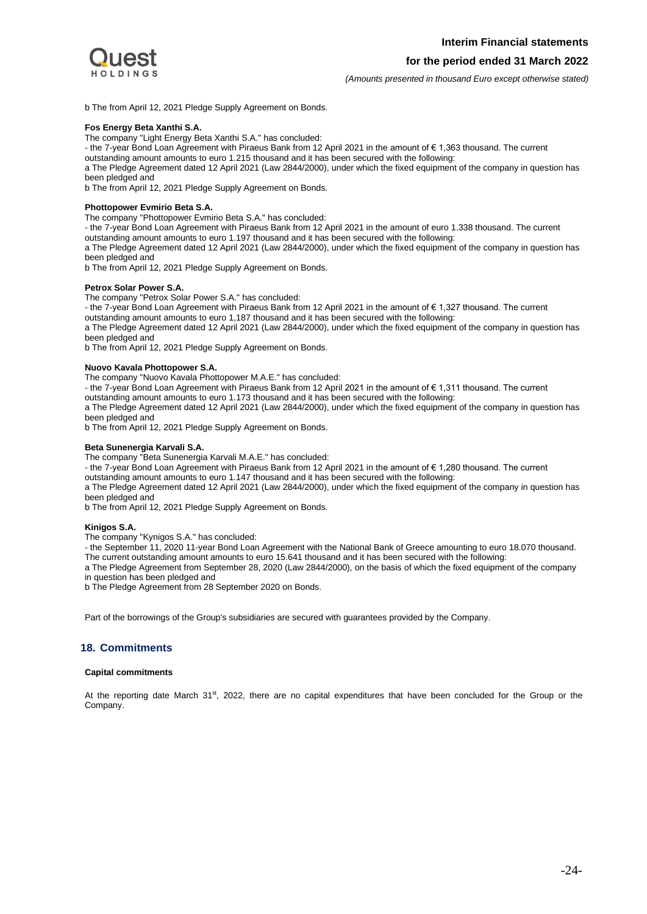

*(Amounts presented in thousand Euro except otherwise stated)*

b The from April 12, 2021 Pledge Supply Agreement on Bonds.

#### **Fos Energy Beta Xanthi S.A.**

The company "Light Energy Beta Xanthi S.A." has concluded:

- the 7-year Bond Loan Agreement with Piraeus Bank from 12 April 2021 in the amount of € 1,363 thousand. The current

outstanding amount amounts to euro 1.215 thousand and it has been secured with the following:

a The Pledge Agreement dated 12 April 2021 (Law 2844/2000), under which the fixed equipment of the company in question has been pledged and

b The from April 12, 2021 Pledge Supply Agreement on Bonds.

#### **Phottopower Evmirio Beta S.A.**

The company "Phottopower Evmirio Beta S.A." has concluded:

- the 7-year Bond Loan Agreement with Piraeus Bank from 12 April 2021 in the amount of euro 1.338 thousand. The current outstanding amount amounts to euro 1.197 thousand and it has been secured with the following:

a The Pledge Agreement dated 12 April 2021 (Law 2844/2000), under which the fixed equipment of the company in question has been pledged and

b The from April 12, 2021 Pledge Supply Agreement on Bonds.

#### **Petrox Solar Power S.A.**

The company "Petrox Solar Power S.A." has concluded:

- the 7-year Bond Loan Agreement with Piraeus Bank from 12 April 2021 in the amount of € 1,327 thousand. The current outstanding amount amounts to euro 1,187 thousand and it has been secured with the following:

a The Pledge Agreement dated 12 April 2021 (Law 2844/2000), under which the fixed equipment of the company in question has been pledged and

b The from April 12, 2021 Pledge Supply Agreement on Bonds.

#### **Nuovo Kavala Phottopower S.A.**

The company "Nuovo Kavala Phottopower M.A.E." has concluded: - the 7-year Bond Loan Agreement with Piraeus Bank from 12 April 2021 in the amount of € 1,311 thousand. The current

outstanding amount amounts to euro 1.173 thousand and it has been secured with the following:

a The Pledge Agreement dated 12 April 2021 (Law 2844/2000), under which the fixed equipment of the company in question has been pledged and

b The from April 12, 2021 Pledge Supply Agreement on Bonds.

#### **Beta Sunenergia Karvali S.A.**

The company "Beta Sunenergia Karvali M.A.E." has concluded:

- the 7-year Bond Loan Agreement with Piraeus Bank from 12 April 2021 in the amount of € 1,280 thousand. The current

outstanding amount amounts to euro 1.147 thousand and it has been secured with the following:

a The Pledge Agreement dated 12 April 2021 (Law 2844/2000), under which the fixed equipment of the company in question has been pledged and

b The from April 12, 2021 Pledge Supply Agreement on Bonds.

#### **Kinigos S.A.**

The company "Kynigos S.A." has concluded:

- the September 11, 2020 11-year Bond Loan Agreement with the National Bank of Greece amounting to euro 18.070 thousand. The current outstanding amount amounts to euro 15.641 thousand and it has been secured with the following:

a The Pledge Agreement from September 28, 2020 (Law 2844/2000), on the basis of which the fixed equipment of the company in question has been pledged and

b The Pledge Agreement from 28 September 2020 on Bonds.

<span id="page-24-0"></span>Part of the borrowings of the Group's subsidiaries are secured with guarantees provided by the Company.

## **18. Commitments**

#### **Capital commitments**

At the reporting date March 31<sup>st</sup>, 2022, there are no capital expenditures that have been concluded for the Group or the Company.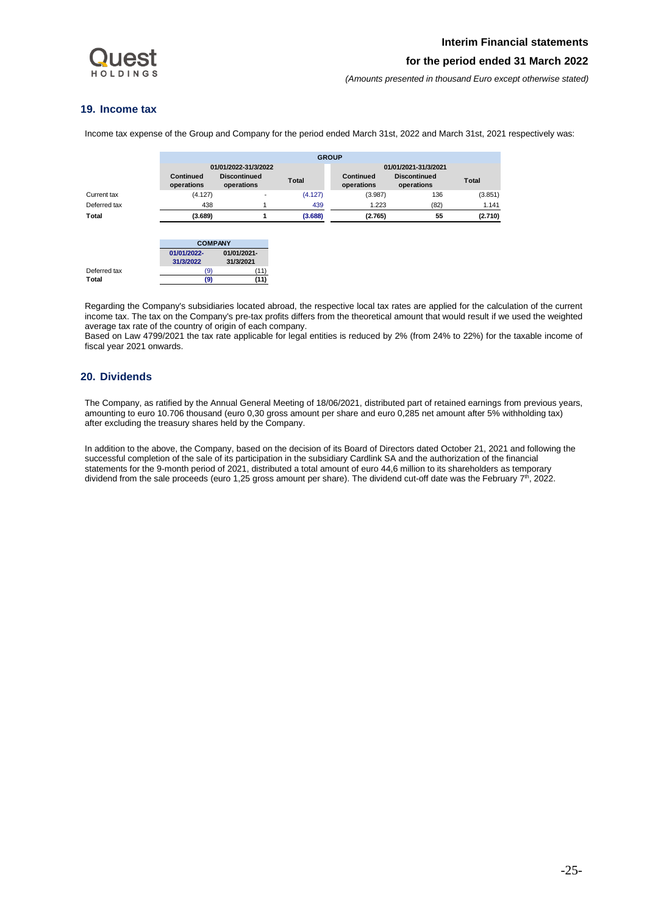

## <span id="page-25-0"></span>**19. Income tax**

Income tax expense of the Group and Company for the period ended March 31st, 2022 and March 31st, 2021 respectively was:

|              |                          |                                                           | <b>GROUP</b> |                         |                                                           |              |
|--------------|--------------------------|-----------------------------------------------------------|--------------|-------------------------|-----------------------------------------------------------|--------------|
|              | Continued<br>operations  | 01/01/2022-31/3/2022<br><b>Discontinued</b><br>operations | <b>Total</b> | Continued<br>operations | 01/01/2021-31/3/2021<br><b>Discontinued</b><br>operations | <b>Total</b> |
| Current tax  | (4.127)                  | $\overline{\phantom{0}}$                                  | (4.127)      | (3.987)                 | 136                                                       | (3.851)      |
| Deferred tax | 438                      |                                                           | 439          | 1.223                   | (82)                                                      | 1.141        |
| Total        | (3.689)                  | 1                                                         | (3.688)      | (2.765)                 | 55                                                        | (2.710)      |
|              |                          | <b>COMPANY</b>                                            |              |                         |                                                           |              |
|              | 01/01/2022-<br>31/3/2022 | 01/01/2021-<br>31/3/2021                                  |              |                         |                                                           |              |
| Deferred tax | (9)                      | (11)                                                      |              |                         |                                                           |              |
| Total        | (9)                      | (11)                                                      |              |                         |                                                           |              |

Regarding the Company's subsidiaries located abroad, the respective local tax rates are applied for the calculation of the current income tax. The tax on the Company's pre-tax profits differs from the theoretical amount that would result if we used the weighted average tax rate of the country of origin of each company.

Based on Law 4799/2021 the tax rate applicable for legal entities is reduced by 2% (from 24% to 22%) for the taxable income of fiscal year 2021 onwards.

## <span id="page-25-1"></span>**20. Dividends**

The Company, as ratified by the Annual General Meeting of 18/06/2021, distributed part of retained earnings from previous years, amounting to euro 10.706 thousand (euro 0,30 gross amount per share and euro 0,285 net amount after 5% withholding tax) after excluding the treasury shares held by the Company.

In addition to the above, the Company, based on the decision of its Board of Directors dated October 21, 2021 and following the successful completion of the sale of its participation in the subsidiary Cardlink SA and the authorization of the financial statements for the 9-month period of 2021, distributed a total amount of euro 44,6 million to its shareholders as temporary dividend from the sale proceeds (euro 1,25 gross amount per share). The dividend cut-off date was the February 7<sup>th</sup>, 2022.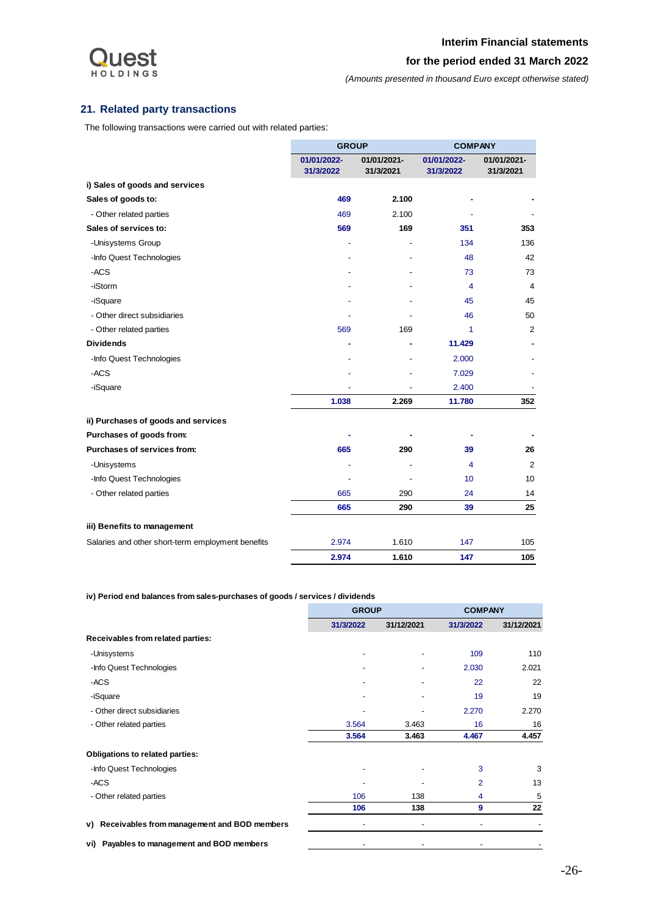

# <span id="page-26-0"></span>**21. Related party transactions**

The following transactions were carried out with related parties:

|                                                   | <b>GROUP</b>             |                          | <b>COMPANY</b>           |                          |
|---------------------------------------------------|--------------------------|--------------------------|--------------------------|--------------------------|
|                                                   | 01/01/2022-<br>31/3/2022 | 01/01/2021-<br>31/3/2021 | 01/01/2022-<br>31/3/2022 | 01/01/2021-<br>31/3/2021 |
| i) Sales of goods and services                    |                          |                          |                          |                          |
| Sales of goods to:                                | 469                      | 2.100                    |                          |                          |
| - Other related parties                           | 469                      | 2.100                    |                          |                          |
| Sales of services to:                             | 569                      | 169                      | 351                      | 353                      |
| -Unisystems Group                                 | ٠                        |                          | 134                      | 136                      |
| -Info Quest Technologies                          |                          |                          | 48                       | 42                       |
| -ACS                                              |                          |                          | 73                       | 73                       |
| -iStorm                                           |                          |                          | 4                        | 4                        |
| -iSquare                                          |                          |                          | 45                       | 45                       |
| - Other direct subsidiaries                       |                          |                          | 46                       | 50                       |
| - Other related parties                           | 569                      | 169                      | 1                        | 2                        |
| <b>Dividends</b>                                  | ۰                        |                          | 11.429                   |                          |
| -Info Quest Technologies                          |                          |                          | 2.000                    |                          |
| -ACS                                              |                          |                          | 7.029                    |                          |
| -iSquare                                          |                          |                          | 2.400                    |                          |
|                                                   | 1.038                    | 2.269                    | 11.780                   | 352                      |
| ii) Purchases of goods and services               |                          |                          |                          |                          |
| Purchases of goods from:                          |                          |                          |                          |                          |
| Purchases of services from:                       | 665                      | 290                      | 39                       | 26                       |
| -Unisystems                                       |                          |                          | $\overline{\mathbf{4}}$  | $\overline{2}$           |
| -Info Quest Technologies                          |                          |                          | 10                       | 10                       |
| - Other related parties                           | 665                      | 290                      | 24                       | 14                       |
|                                                   | 665                      | 290                      | 39                       | 25                       |
| iii) Benefits to management                       |                          |                          |                          |                          |
| Salaries and other short-term employment benefits | 2.974                    | 1.610                    | 147                      | 105                      |
|                                                   | 2.974                    | 1.610                    | 147                      | 105                      |

**iv) Period end balances from sales-purchases of goods / services / dividends** 

|                                                | <b>GROUP</b> |            | <b>COMPANY</b> |            |
|------------------------------------------------|--------------|------------|----------------|------------|
|                                                | 31/3/2022    | 31/12/2021 | 31/3/2022      | 31/12/2021 |
| Receivables from related parties:              |              |            |                |            |
| -Unisystems                                    |              |            | 109            | 110        |
| -Info Quest Technologies                       |              |            | 2.030          | 2.021      |
| -ACS                                           |              |            | 22             | 22         |
| -iSquare                                       |              |            | 19             | 19         |
| - Other direct subsidiaries                    |              |            | 2.270          | 2.270      |
| - Other related parties                        | 3.564        | 3.463      | 16             | 16         |
|                                                | 3.564        | 3.463      | 4.467          | 4.457      |
| <b>Obligations to related parties:</b>         |              |            |                |            |
| -Info Quest Technologies                       |              |            | 3              | 3          |
| -ACS                                           |              |            | $\overline{2}$ | 13         |
| - Other related parties                        | 106          | 138        | 4              | 5          |
|                                                | 106          | 138        | 9              | 22         |
| v) Receivables from management and BOD members |              |            |                |            |
| vi) Payables to management and BOD members     |              |            |                |            |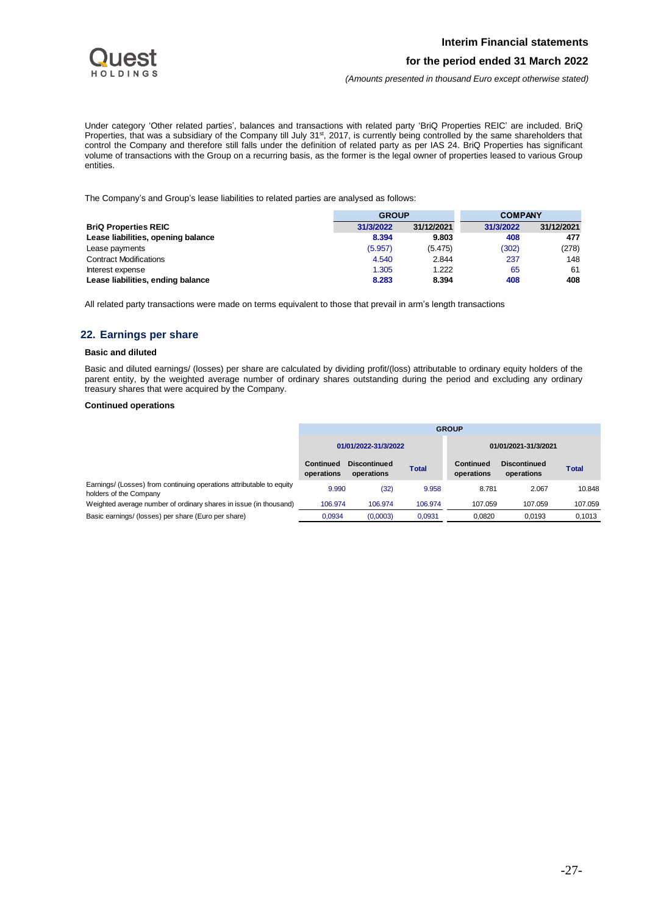

*(Amounts presented in thousand Euro except otherwise stated)*

Under category 'Other related parties', balances and transactions with related party 'BriQ Properties REIC' are included. BriQ Properties, that was a subsidiary of the Company till July 31<sup>st</sup>, 2017, is currently being controlled by the same shareholders that control the Company and therefore still falls under the definition of related party as per IAS 24. BriQ Properties has significant volume of transactions with the Group on a recurring basis, as the former is the legal owner of properties leased to various Group entities.

The Company's and Group's lease liabilities to related parties are analysed as follows:

|                                    | <b>GROUP</b> |            | <b>COMPANY</b> |            |
|------------------------------------|--------------|------------|----------------|------------|
| <b>BriQ Properties REIC</b>        | 31/3/2022    | 31/12/2021 | 31/3/2022      | 31/12/2021 |
| Lease liabilities, opening balance | 8.394        | 9.803      | 408            | 477        |
| Lease payments                     | (5.957)      | (5.475)    | (302)          | (278)      |
| <b>Contract Modifications</b>      | 4.540        | 2.844      | 237            | 148        |
| Interest expense                   | 1.305        | 1.222      | 65             | 61         |
| Lease liabilities, ending balance  | 8.283        | 8.394      | 408            | 408        |

All related party transactions were made on terms equivalent to those that prevail in arm's length transactions

## <span id="page-27-0"></span>**22. Earnings per share**

## **Basic and diluted**

Basic and diluted earnings/ (losses) per share are calculated by dividing profit/(loss) attributable to ordinary equity holders of the parent entity, by the weighted average number of ordinary shares outstanding during the period and excluding any ordinary treasury shares that were acquired by the Company.

#### **Continued operations**

|                                                                                                | <b>GROUP</b>            |                                   |              |                         |                                   |              |
|------------------------------------------------------------------------------------------------|-------------------------|-----------------------------------|--------------|-------------------------|-----------------------------------|--------------|
|                                                                                                | 01/01/2022-31/3/2022    |                                   |              | 01/01/2021-31/3/2021    |                                   |              |
|                                                                                                | Continued<br>operations | <b>Discontinued</b><br>operations | <b>Total</b> | Continued<br>operations | <b>Discontinued</b><br>operations | <b>Total</b> |
| Earnings/ (Losses) from continuing operations attributable to equity<br>holders of the Company | 9.990                   | (32)                              | 9.958        | 8.781                   | 2.067                             | 10.848       |
| Weighted average number of ordinary shares in issue (in thousand)                              | 106.974                 | 106.974                           | 106.974      | 107.059                 | 107.059                           | 107.059      |
| Basic earnings/ (losses) per share (Euro per share)                                            | 0.0934                  | (0,0003)                          | 0,0931       | 0.0820                  | 0.0193                            | 0,1013       |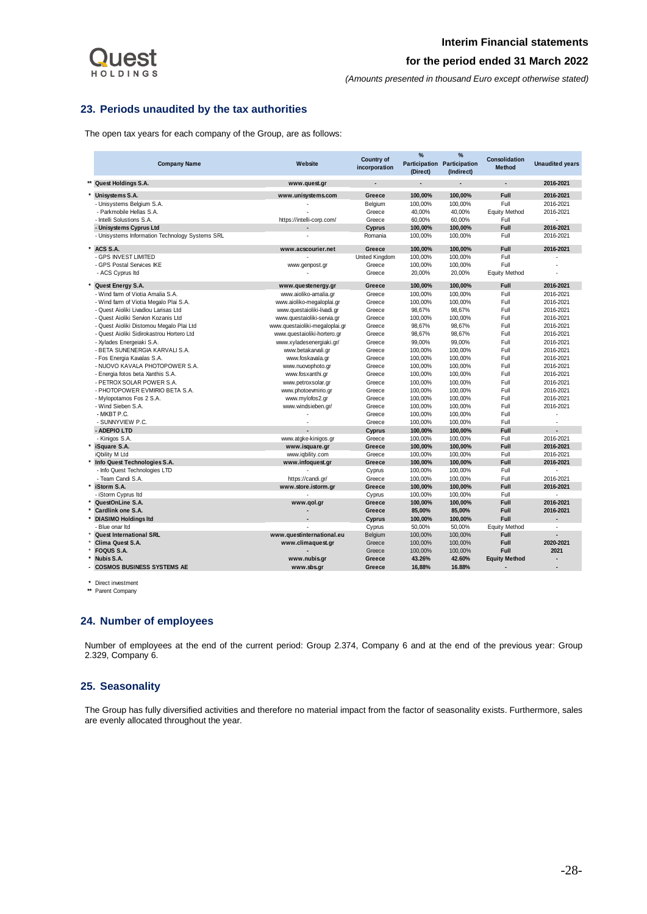

*(Amounts presented in thousand Euro except otherwise stated)*

## <span id="page-28-0"></span>**23. Periods unaudited by the tax authorities**

The open tax years for each company of the Group, are as follows:

|         | <b>Company Name</b>                             | Website                        | <b>Country of</b><br>incorporation | %<br>Participation Participation<br>(Direct) | %<br>(Indirect) | Consolidation<br><b>Method</b> | <b>Unaudited years</b> |
|---------|-------------------------------------------------|--------------------------------|------------------------------------|----------------------------------------------|-----------------|--------------------------------|------------------------|
| **      | Quest Holdings S.A.                             | www.quest.gr                   |                                    |                                              |                 |                                | 2016-2021              |
|         | Unisystems S.A.                                 | www.unisystems.com             | Greece                             | 100,00%                                      | 100,00%         | Full                           | 2016-2021              |
|         | - Unisystems Belgium S.A.                       |                                | Belgium                            | 100,00%                                      | 100,00%         | Full                           | 2016-2021              |
|         | - Parkmobile Hellas S.A.                        |                                | Greece                             | 40,00%                                       | 40,00%          | <b>Equity Method</b>           | 2016-2021              |
|         | - Intelli Solustions S.A.                       | https://intelli-corp.com/      | Greece                             | 60,00%                                       | 60,00%          | Full                           |                        |
|         | - Unisystems Cyprus Ltd                         |                                | Cyprus                             | 100,00%                                      | 100,00%         | Full                           | 2016-2021              |
|         | - Unisystems Information Technology Systems SRL |                                | Romania                            | 100,00%                                      | 100,00%         | Full                           | 2016-2021              |
| $\star$ | ACS S.A.                                        | www.acscourier.net             | Greece                             | 100,00%                                      | 100,00%         | Full                           | 2016-2021              |
|         | - GPS INVEST LIMITED                            |                                | United Kingdom                     | 100,00%                                      | 100,00%         | Full                           |                        |
|         | - GPS Postal Services IKE                       | www.genpost.gr                 | Greece                             | 100,00%                                      | 100,00%         | Full                           |                        |
|         | - ACS Cyprus Itd                                |                                | Greece                             | 20,00%                                       | 20,00%          | <b>Equity Method</b>           |                        |
|         | Quest Energy S.A.                               | www.questenergy.gr             | Greece                             | 100,00%                                      | 100,00%         | Full                           | 2016-2021              |
|         | - Wind farm of Viotia Amalia S.A.               | www.aioliko-amalia.gr          | Greece                             | 100,00%                                      | 100,00%         | Full                           | 2016-2021              |
|         | - Wind farm of Viotia Megalo Plai S.A.          | www.aioliko-megaloplai.gr      | Greece                             | 100,00%                                      | 100,00%         | Full                           | 2016-2021              |
|         | - Quest Aioliki Livadiou Larisas Ltd            | www.questaioliki-livadi.gr     | Greece                             | 98,67%                                       | 98,67%          | Full                           | 2016-2021              |
|         | - Quest Aioliki Servion Kozanis Ltd             | www.questaioliki-servia.gr     | Greece                             | 100,00%                                      | 100,00%         | Full                           | 2016-2021              |
|         | - Quest Aioliki Distomou Megalo Plai Ltd        | www.questaioliki-megaloplai.gr | Greece                             | 98,67%                                       | 98,67%          | Full                           | 2016-2021              |
|         | - Quest Aioliki Sidirokastrou Hortero Ltd       | www.questaioliki-hortero.gr    | Greece                             | 98,67%                                       | 98,67%          | Full                           | 2016-2021              |
|         | - Xylades Energeiaki S.A.                       | www.xyladesenergiaki.gr/       | Greece                             | 99,00%                                       | 99,00%          | Full                           | 2016-2021              |
|         | - BETA SUNENERGIA KARVALI S.A.                  | www.betakarvali.or             | Greece                             | 100.00%                                      | 100.00%         | Full                           | 2016-2021              |
|         | - Fos Energia Kavalas S.A.                      | www.foskavala.gr               | Greece                             | 100.00%                                      | 100.00%         | Full                           | 2016-2021              |
|         | - NUOVO KAVALA PHOTOPOWER S.A.                  | www.nuovophoto.gr              | Greece                             | 100,00%                                      | 100,00%         | Full                           | 2016-2021              |
|         | - Energia fotos beta Xanthis S.A.               | www.fosxanthi.gr               | Greece                             | 100.00%                                      | 100.00%         | Full                           | 2016-2021              |
|         | - PETROX SOLAR POWER S.A.                       | www.petroxsolar.gr             | Greece                             | 100,00%                                      | 100,00%         | Full                           | 2016-2021              |
|         | - PHOTOPOWER EVMIRIO BETA S.A.                  | www.photoevmirio.gr            | Greece                             | 100,00%                                      | 100,00%         | Full                           | 2016-2021              |
|         | - Mylopotamos Fos 2 S.A.                        | www.mylofos2.gr                | Greece                             | 100.00%                                      | 100,00%         | Full                           | 2016-2021              |
|         | - Wind Sieben S.A.                              | www.windsieben.gr/             | Greece                             | 100,00%                                      | 100,00%         | Full                           | 2016-2021              |
|         | - MKBT P.C.                                     |                                | Greece                             | 100,00%                                      | 100,00%         | Full                           |                        |
|         | - SUNNYVIEW P.C.                                |                                | Greece                             | 100,00%                                      | 100,00%         | Full                           |                        |
|         | - ADEPIO LTD                                    |                                | Cyprus                             | 100,00%                                      | 100,00%         | Full                           |                        |
|         | - Kinigos S.A.                                  | www.atgke-kinigos.gr           | Greece                             | 100,00%                                      | 100,00%         | Full                           | 2016-2021              |
|         | iSquare S.A.                                    | www.isquare.gr                 | Greece                             | 100,00%                                      | 100,00%         | Full                           | 2016-2021              |
|         | iQbility M Ltd                                  | www.iqbility.com               | Greece                             | 100,00%                                      | 100,00%         | Full                           | 2016-2021              |
|         | Info Quest Technologies S.A.                    | www.infoquest.gr               | Greece                             | 100,00%                                      | 100,00%         | Full                           | 2016-2021              |
|         | - Info Quest Technologies LTD                   |                                | Cyprus                             | 100,00%                                      | 100,00%         | Full                           |                        |
|         | - Team Candi S.A.                               | https://candi.gr/              | Greece                             | 100.00%                                      | 100.00%         | Full                           | 2016-2021              |
|         | iStorm S.A.                                     | www.store.istorm.gr            | Greece                             | 100,00%                                      | 100,00%         | Full                           | 2016-2021              |
|         | - iStorm Cyprus Itd                             |                                | Cyprus                             | 100,00%                                      | 100,00%         | Full                           | ÷.                     |
|         | QuestOnLine S.A.                                | www.qol.gr                     | Greece                             | 100,00%                                      | 100,00%         | Full                           | 2016-2021              |
|         | Cardlink one S.A.                               |                                | Greece                             | 85,00%                                       | 85,00%          | <b>Full</b>                    | 2016-2021              |
|         | <b>DIASIMO Holdings Itd</b>                     |                                | Cyprus                             | 100,00%                                      | 100,00%         | Full                           | ÷,                     |
|         | - Blue onar Itd                                 |                                | Cyprus                             | 50,00%                                       | 50,00%          | <b>Equity Method</b>           | ÷.                     |
|         | <b>Quest International SRL</b>                  | www.questinternational.eu      | Belgium                            | 100,00%                                      | 100,00%         | Full                           |                        |
|         | Clima Quest S.A.                                | www.climaquest.gr              | Greece                             | 100,00%                                      | 100,00%         | Full                           | 2020-2021              |
|         | <b>FOQUS S.A.</b>                               |                                | Greece                             | 100,00%                                      | 100,00%         | Full                           | 2021                   |
|         | Nubis S.A.                                      | www.nubis.gr                   | Greece                             | 43.26%                                       | 42.60%          | <b>Equity Method</b>           | $\overline{a}$         |
|         | <b>COSMOS BUSINESS SYSTEMS AE</b>               | www.sbs.gr                     | Greece                             | 16.88%                                       | 16.88%          |                                |                        |

**\*** Direct investment

**\*\*** Parent Company

## <span id="page-28-1"></span>**24. Number of employees**

Number of employees at the end of the current period: Group 2.374, Company 6 and at the end of the previous year: Group 2.329, Company 6.

## <span id="page-28-2"></span>**25. Seasonality**

The Group has fully diversified activities and therefore no material impact from the factor of seasonality exists. Furthermore, sales are evenly allocated throughout the year.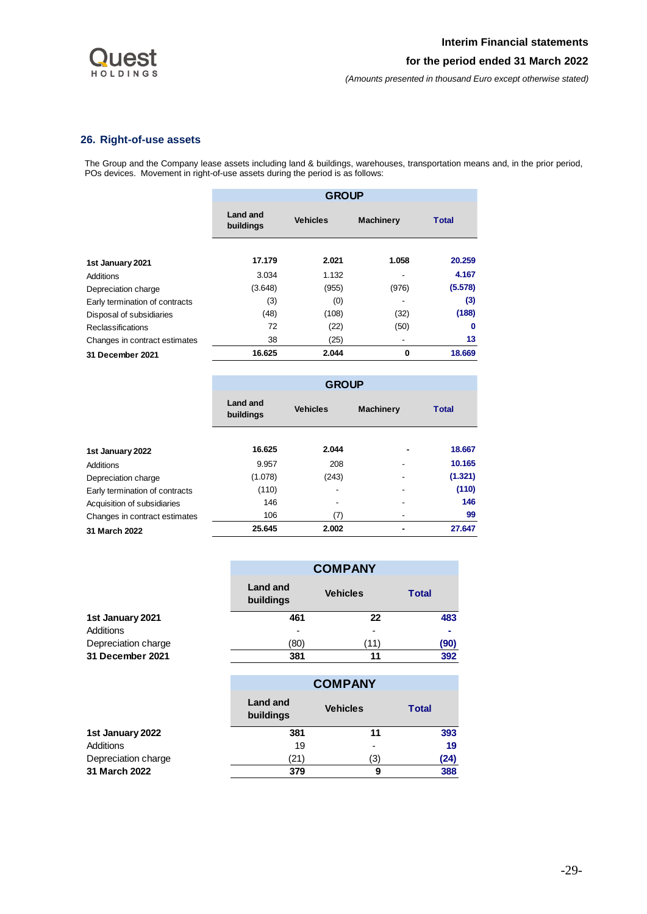

*(Amounts presented in thousand Euro except otherwise stated)*

# <span id="page-29-0"></span>**26. Right-of-use assets**

The Group and the Company lease assets including land & buildings, warehouses, transportation means and, in the prior period, POs devices. Movement in right-of-use assets during the period is as follows:

|                                | <b>GROUP</b>          |                 |                          |         |  |
|--------------------------------|-----------------------|-----------------|--------------------------|---------|--|
|                                | Land and<br>buildings | <b>Vehicles</b> | <b>Machinery</b>         | Total   |  |
| 1st January 2021               | 17.179                | 2.021           | 1.058                    | 20.259  |  |
| Additions                      | 3.034                 | 1.132           | $\overline{\phantom{a}}$ | 4.167   |  |
| Depreciation charge            | (3.648)               | (955)           | (976)                    | (5.578) |  |
| Early termination of contracts | (3)                   | (0)             |                          | (3)     |  |
| Disposal of subsidiaries       | (48)                  | (108)           | (32)                     | (188)   |  |
| <b>Reclassifications</b>       | 72                    | (22)            | (50)                     | 0       |  |
| Changes in contract estimates  | 38                    | (25)            | $\overline{\phantom{a}}$ | 13      |  |
| 31 December 2021               | 16.625                | 2.044           | 0                        | 18.669  |  |

|                                | <b>GROUP</b>          |                 |                  |              |  |  |
|--------------------------------|-----------------------|-----------------|------------------|--------------|--|--|
|                                | Land and<br>buildings | <b>Vehicles</b> | <b>Machinery</b> | <b>Total</b> |  |  |
| 1st January 2022               | 16.625                | 2.044           |                  | 18.667       |  |  |
| Additions                      | 9.957                 | 208             |                  | 10.165       |  |  |
| Depreciation charge            | (1.078)               | (243)           |                  | (1.321)      |  |  |
| Early termination of contracts | (110)                 |                 |                  | (110)        |  |  |
| Acquisition of subsidiaries    | 146                   |                 |                  | 146          |  |  |
| Changes in contract estimates  | 106                   | (7)             | -                | 99           |  |  |
| 31 March 2022                  | 25.645                | 2.002           |                  | 27.647       |  |  |

|                     |                              | <b>COMPANY</b>  |              |  |  |  |
|---------------------|------------------------------|-----------------|--------------|--|--|--|
|                     | <b>Land and</b><br>buildings | <b>Vehicles</b> | <b>Total</b> |  |  |  |
| 1st January 2021    | 461                          | 22              | 483          |  |  |  |
| Additions           | ۰                            | -               | ۰            |  |  |  |
| Depreciation charge | (80                          | (11             | (90)         |  |  |  |
| 31 December 2021    | 381                          | 11              | 392          |  |  |  |

|                     |                              | <b>COMPANY</b>  |              |  |  |
|---------------------|------------------------------|-----------------|--------------|--|--|
|                     | <b>Land and</b><br>buildings | <b>Vehicles</b> | <b>Total</b> |  |  |
| 1st January 2022    | 381                          | 11              | 393          |  |  |
| Additions           | 19                           | -               | 19           |  |  |
| Depreciation charge | (21)                         | '3)             | (24)         |  |  |
| 31 March 2022       | 379                          | g               | 388          |  |  |